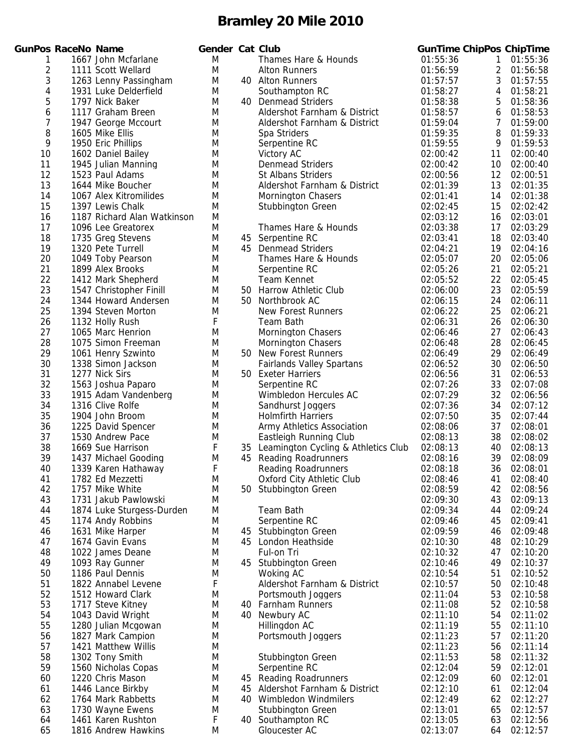|                | nPos RaceNo Name |                                            | Gen    |
|----------------|------------------|--------------------------------------------|--------|
| 1              |                  | 1667 John Mcfarlane                        | M      |
| $\overline{2}$ |                  | 1111 Scott Wellard                         | M      |
| 3              |                  | 1263 Lenny Passingham                      | M      |
| 4              |                  | 1931 Luke Delderfield                      | M      |
| 5              |                  | 1797 Nick Baker                            | M      |
| 6              |                  | 1117 Graham Breen                          | M      |
| $\overline{7}$ |                  | 1947 George Mccourt                        | M      |
| 8              |                  | 1605 Mike Ellis                            | M      |
| 9              |                  | 1950 Eric Phillips                         | M      |
| 10<br>11       |                  | 1602 Daniel Bailev                         | M<br>M |
| 12             |                  | 1945 Julian Manning<br>1523 Paul Adams     | M      |
| 13             |                  | 1644 Mike Boucher                          | M      |
| 14             |                  | 1067 Alex Kitromilides                     | Μ      |
| 15             |                  | 1397 Lewis Chalk                           | M      |
| 16             |                  | 1187 Richard Alan Watkinson                | M      |
| 17             |                  | 1096 Lee Greatorex                         | Μ      |
| 18             |                  | 1735 Greg Stevens                          | M      |
| 19             |                  | 1320 Pete Turrell                          | M      |
| 20             |                  | 1049 Toby Pearson                          | Μ      |
| 21             |                  | 1899 Alex Brooks                           | M      |
| 22             |                  | 1412 Mark Shepherd                         | M      |
| 23             |                  | 1547 Christopher Finill                    | M      |
| 24             |                  | 1344 Howard Andersen                       | M      |
| 25             |                  | 1394 Steven Morton                         | M      |
| 26             |                  | 1132 Holly Rush                            | F      |
| 27             |                  | 1065 Marc Henrion                          | M      |
| 28             |                  | 1075 Simon Freeman                         | M      |
| 29             |                  | 1061 Henry Szwinto                         | M      |
| 30             |                  | 1338 Simon Jackson                         | M      |
| 31             |                  | 1277 Nick Sirs                             | M      |
| 32<br>33       |                  | 1563 Joshua Paparo<br>1915 Adam Vandenberg | M      |
| 34             |                  | 1316 Clive Rolfe                           | M<br>M |
| 35             |                  | 1904 John Broom                            | M      |
| 36             |                  | 1225 David Spencer                         | M      |
| 37             |                  | 1530 Andrew Pace                           | M      |
| 38             |                  | 1669 Sue Harrison                          | F      |
| 39             |                  | 1437 Michael Gooding                       | Μ      |
| 40             |                  | 1339 Karen Hathaway                        | F      |
| 41             |                  | 1782 Ed Mezzetti                           | M      |
| 42             |                  | 1757 Mike White                            | M      |
| 43             |                  | 1731 Jakub Pawlowski                       | M      |
| 44             |                  | 1874 Luke Sturgess-Durden                  | M      |
| 45             |                  | 1174 Andy Robbins                          | M      |
| 46             |                  | 1631 Mike Harper                           | Μ      |
| 47             |                  | 1674 Gavin Evans                           | Μ      |
| 48             |                  | 1022 James Deane                           | M      |
| 49             |                  | 1093 Ray Gunner                            | M      |
| 50             |                  | 1186 Paul Dennis                           | M      |
| 51             |                  | 1822 Annabel Levene                        | F      |
| 52             |                  | 1512 Howard Clark                          | M      |
| 53             |                  | 1717 Steve Kitney                          | M      |
| 54             |                  | 1043 David Wright                          | Μ      |
| 55             |                  | 1280 Julian Mcgowan                        | M      |
| 56             |                  | 1827 Mark Campion                          | M      |
| 57<br>58       |                  | 1421 Matthew Willis<br>1302 Tony Smith     | Μ<br>Μ |
| 59             |                  | 1560 Nicholas Copas                        | M      |
| 60             |                  | 1220 Chris Mason                           | Μ      |
| 61             |                  | 1446 Lance Birkby                          | Μ      |
| 62             |                  | 1764 Mark Rabbetts                         | Μ      |
| 63             |                  | 1730 Wayne Ewens                           | Μ      |
| 64             |                  | 1461 Karen Rushton                         | F      |
| 65             |                  | 1816 Andrew Hawkins                        | M      |

|          | GunPos RaceNo Name |                                             | Gender Cat Club |           |                                                      | <b>GunTime ChipPos ChipTime</b> |                 |                         |
|----------|--------------------|---------------------------------------------|-----------------|-----------|------------------------------------------------------|---------------------------------|-----------------|-------------------------|
| 1        |                    | 1667 John Mcfarlane                         | M               |           | Thames Hare & Hounds                                 | 01:55:36                        | 1               | 01:55:36                |
| 2        |                    | 1111 Scott Wellard                          | M               |           | <b>Alton Runners</b>                                 | 01:56:59                        | $2^{\circ}$     | 01:56:58                |
| 3        |                    | 1263 Lenny Passingham                       | M               |           | 40 Alton Runners                                     | 01:57:57                        | 3               | 01:57:55                |
| 4        |                    | 1931 Luke Delderfield                       | M               |           | Southampton RC                                       | 01:58:27                        | $\overline{4}$  | 01:58:21                |
| 5        |                    | 1797 Nick Baker                             | M               |           | 40 Denmead Striders                                  | 01:58:38                        | 5               | 01:58:36                |
| 6        |                    | 1117 Graham Breen                           | M               |           | Aldershot Farnham & District                         | 01:58:57                        | 6               | 01:58:53                |
| 7        |                    | 1947 George Mccourt                         | M<br>M          |           | Aldershot Farnham & District                         | 01:59:04                        | 7<br>8          | 01:59:00                |
| 8<br>9   |                    | 1605 Mike Ellis<br>1950 Eric Phillips       | M               |           | Spa Striders<br>Serpentine RC                        | 01:59:35<br>01:59:55            | 9               | 01:59:33<br>01:59:53    |
| 10       |                    | 1602 Daniel Bailey                          | M               |           | Victory AC                                           | 02:00:42                        | 11              | 02:00:40                |
| 11       |                    | 1945 Julian Manning                         | M               |           | <b>Denmead Striders</b>                              | 02:00:42                        | 10              | 02:00:40                |
| 12       |                    | 1523 Paul Adams                             | M               |           | <b>St Albans Striders</b>                            | 02:00:56                        | 12 <sup>2</sup> | 02:00:51                |
| 13       |                    | 1644 Mike Boucher                           | M               |           | Aldershot Farnham & District                         | 02:01:39                        | 13              | 02:01:35                |
| 14       |                    | 1067 Alex Kitromilides                      | M               |           | <b>Mornington Chasers</b>                            | 02:01:41                        | 14              | 02:01:38                |
| 15       |                    | 1397 Lewis Chalk                            | M               |           | Stubbington Green                                    | 02:02:45                        | 15              | 02:02:42                |
| 16       |                    | 1187 Richard Alan Watkinson                 | M               |           |                                                      | 02:03:12                        | 16              | 02:03:01                |
| 17       |                    | 1096 Lee Greatorex                          | M               |           | Thames Hare & Hounds                                 | 02:03:38                        | 17              | 02:03:29                |
| 18       |                    | 1735 Greg Stevens                           | M               |           | 45 Serpentine RC                                     | 02:03:41                        | 18              | 02:03:40                |
| 19       |                    | 1320 Pete Turrell                           | M               |           | 45 Denmead Striders                                  | 02:04:21                        | 19              | 02:04:16                |
| 20       |                    | 1049 Toby Pearson                           | M               |           | Thames Hare & Hounds                                 | 02:05:07                        | 20              | 02:05:06                |
| 21       |                    | 1899 Alex Brooks                            | M               |           | Serpentine RC                                        | 02:05:26                        | 21              | 02:05:21                |
| 22       |                    | 1412 Mark Shepherd                          | M               |           | Team Kennet                                          | 02:05:52                        | 22              | 02:05:45                |
| 23       |                    | 1547 Christopher Finill                     | M               |           | 50 Harrow Athletic Club                              | 02:06:00                        | 23              | 02:05:59                |
| 24<br>25 |                    | 1344 Howard Andersen<br>1394 Steven Morton  | M<br>M          | 50        | Northbrook AC<br><b>New Forest Runners</b>           | 02:06:15<br>02:06:22            | 24<br>25        | 02:06:11<br>02:06:21    |
| 26       |                    | 1132 Holly Rush                             | F               |           | Team Bath                                            | 02:06:31                        | 26              | 02:06:30                |
| 27       |                    | 1065 Marc Henrion                           | M               |           | <b>Mornington Chasers</b>                            | 02:06:46                        | 27              | 02:06:43                |
| 28       |                    | 1075 Simon Freeman                          | M               |           | Mornington Chasers                                   | 02:06:48                        | 28              | 02:06:45                |
| 29       |                    | 1061 Henry Szwinto                          | M               |           | 50 New Forest Runners                                | 02:06:49                        | 29              | 02:06:49                |
| 30       |                    | 1338 Simon Jackson                          | M               |           | <b>Fairlands Valley Spartans</b>                     | 02:06:52                        | 30              | 02:06:50                |
| 31       |                    | 1277 Nick Sirs                              | M               |           | 50 Exeter Harriers                                   | 02:06:56                        | 31              | 02:06:53                |
| 32       |                    | 1563 Joshua Paparo                          | M               |           | Serpentine RC                                        | 02:07:26                        | 33              | 02:07:08                |
| 33       |                    | 1915 Adam Vandenberg                        | M               |           | Wimbledon Hercules AC                                | 02:07:29                        | 32              | 02:06:56                |
| 34       |                    | 1316 Clive Rolfe                            | M               |           | Sandhurst Joggers                                    | 02:07:36                        | 34              | 02:07:12                |
| 35       |                    | 1904 John Broom                             | M               |           | <b>Holmfirth Harriers</b>                            | 02:07:50                        | 35              | 02:07:44                |
| 36       |                    | 1225 David Spencer                          | M               |           | Army Athletics Association                           | 02:08:06                        | 37              | 02:08:01                |
| 37       |                    | 1530 Andrew Pace                            | M               |           | Eastleigh Running Club                               | 02:08:13                        | 38              | 02:08:02                |
| 38       |                    | 1669 Sue Harrison                           | F               |           | 35 Leamington Cycling & Athletics Club               | 02:08:13                        | 40              | 02:08:13                |
| 39<br>40 |                    | 1437 Michael Gooding<br>1339 Karen Hathaway | M<br>F          |           | 45 Reading Roadrunners<br><b>Reading Roadrunners</b> | 02:08:16<br>02:08:18            | 39              | 02:08:09<br>36 02:08:01 |
| 41       |                    | 1782 Ed Mezzetti                            | M               |           | <b>Oxford City Athletic Club</b>                     | 02:08:46                        | 41              | 02:08:40                |
| 42       |                    | 1757 Mike White                             | M               | 50        | <b>Stubbington Green</b>                             | 02:08:59                        | 42              | 02:08:56                |
| 43       |                    | 1731 Jakub Pawlowski                        | M               |           |                                                      | 02:09:30                        | 43              | 02:09:13                |
| 44       |                    | 1874 Luke Sturgess-Durden                   | M               |           | <b>Team Bath</b>                                     | 02:09:34                        | 44              | 02:09:24                |
| 45       |                    | 1174 Andy Robbins                           | M               |           | Serpentine RC                                        | 02:09:46                        | 45              | 02:09:41                |
| 46       |                    | 1631 Mike Harper                            | M               | 45        | <b>Stubbington Green</b>                             | 02:09:59                        | 46              | 02:09:48                |
| 47       |                    | 1674 Gavin Evans                            | M               |           | 45 London Heathside                                  | 02:10:30                        | 48              | 02:10:29                |
| 48       |                    | 1022 James Deane                            | M               |           | Ful-on Tri                                           | 02:10:32                        | 47              | 02:10:20                |
| 49       |                    | 1093 Ray Gunner                             | M               | 45.       | <b>Stubbington Green</b>                             | 02:10:46                        | 49              | 02:10:37                |
| 50       |                    | 1186 Paul Dennis                            | M               |           | Woking AC                                            | 02:10:54                        | 51              | 02:10:52                |
| 51       |                    | 1822 Annabel Levene                         | F               |           | Aldershot Farnham & District                         | 02:10:57                        | 50              | 02:10:48                |
| 52       |                    | 1512 Howard Clark                           | M               |           | Portsmouth Joggers                                   | 02:11:04                        | 53              | 02:10:58                |
| 53<br>54 |                    | 1717 Steve Kitney<br>1043 David Wright      | M<br>M          | 40.<br>40 | <b>Farnham Runners</b><br>Newbury AC                 | 02:11:08<br>02:11:10            | 52<br>54        | 02:10:58<br>02:11:02    |
| 55       |                    | 1280 Julian Mcgowan                         | M               |           | Hillingdon AC                                        | 02:11:19                        | 55              | 02:11:10                |
| 56       |                    | 1827 Mark Campion                           | M               |           | Portsmouth Joggers                                   | 02:11:23                        | 57              | 02:11:20                |
| 57       |                    | 1421 Matthew Willis                         | M               |           |                                                      | 02:11:23                        | 56              | 02:11:14                |
| 58       |                    | 1302 Tony Smith                             | M               |           | Stubbington Green                                    | 02:11:53                        | 58              | 02:11:32                |
| 59       |                    | 1560 Nicholas Copas                         | M               |           | Serpentine RC                                        | 02:12:04                        | 59              | 02:12:01                |
| 60       |                    | 1220 Chris Mason                            | M               |           | 45 Reading Roadrunners                               | 02:12:09                        | 60              | 02:12:01                |
| 61       |                    | 1446 Lance Birkby                           | M               | 45        | Aldershot Farnham & District                         | 02:12:10                        | 61              | 02:12:04                |
| 62       |                    | 1764 Mark Rabbetts                          | M               | 40        | <b>Wimbledon Windmilers</b>                          | 02:12:49                        | 62              | 02:12:27                |
| 63       |                    | 1730 Wayne Ewens                            | M               |           | Stubbington Green                                    | 02:13:01                        | 65              | 02:12:57                |
| 64       |                    | 1461 Karen Rushton                          | F               |           | 40 Southampton RC                                    | 02:13:05                        | 63              | 02:12:56                |
| 65       |                    | 1816 Andrew Hawkins                         | M               |           | Gloucester AC                                        | 02:13:07                        | 64              | 02:12:57                |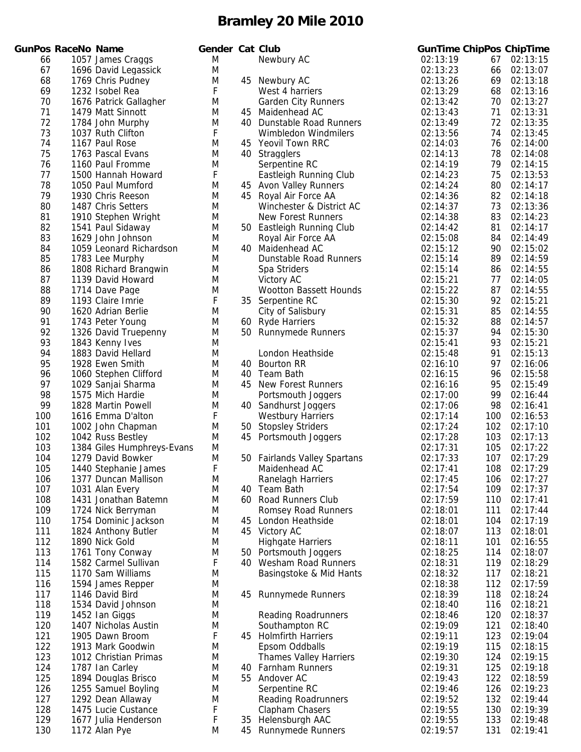|     | unPos RaceNo Name |                           |
|-----|-------------------|---------------------------|
| 66  |                   | 1057 James Craggs         |
| 67  |                   | 1696 David Legassick      |
| 68  |                   | 1769 Chris Pudney         |
| 69  |                   | 1232 Isobel Rea           |
| 70  |                   | 1676 Patrick Gallagher    |
| 71  |                   | 1479 Matt Sinnott         |
| 72  |                   | 1784 John Murphy          |
| 73  |                   | 1037 Ruth Clifton         |
| 74  |                   | 1167 Paul Rose            |
| 75  |                   | 1763 Pascal Evans         |
| 76  |                   | 1160 Paul Fromme          |
| 77  |                   | 1500 Hannah Howard        |
| 78  |                   | 1050 Paul Mumford         |
| 79  |                   | 1930 Chris Reeson         |
| 80  |                   | 1487 Chris Setters        |
| 81  |                   | 1910 Stephen Wright       |
| 82  |                   | 1541 Paul Sidaway         |
| 83  |                   | 1629 John Johnson         |
| 84  |                   | 1059 Leonard Richardson   |
| 85  |                   | 1783 Lee Murphy           |
| 86  |                   | 1808 Richard Brangwin     |
| 87  |                   | 1139 David Howard         |
| 88  |                   | 1714 Dave Page            |
| 89  |                   | 1193 Claire Imrie         |
| 90  |                   | 1620 Adrian Berlie        |
| 91  |                   | 1743 Peter Young          |
| 92  |                   | 1326 David Truepenny      |
| 93  |                   | 1843 Kenny Ives           |
| 94  |                   | 1883 David Hellard        |
| 95  |                   | 1928 Ewen Smith           |
| 96  |                   | 1060 Stephen Clifford     |
| 97  |                   | 1029 Sanjai Sharma        |
| 98  |                   | 1575 Mich Hardie          |
| 99  |                   | 1828 Martin Powell        |
| 100 |                   | 1616 Emma D'alton         |
| 101 |                   | 1002 John Chapman         |
| 102 |                   | 1042 Russ Bestley         |
| 103 |                   | 1384 Giles Humphreys-Evan |
| 104 |                   | 1279 David Bowker         |
| 105 |                   | 1440 Stephanie James      |
| 106 |                   | 1377 Duncan Mallison      |
| 107 |                   | 1031 Alan Every           |
| 108 |                   | 1431 Jonathan Batemn      |
| 109 |                   | 1724 Nick Berryman        |
| 110 |                   | 1754 Dominic Jackson      |
| 111 |                   | 1824 Anthony Butler       |
| 112 |                   | 1890 Nick Gold            |
| 113 |                   | 1761 Tony Conway          |
| 114 |                   | 1582 Carmel Sullivan      |
| 115 |                   | 1170 Sam Williams         |
| 116 |                   | 1594 James Repper         |
| 117 |                   | 1146 David Bird           |
| 118 |                   | 1534 David Johnson        |
| 119 |                   | 1452 Ian Giggs            |
| 120 |                   | 1407 Nicholas Austin      |
| 121 |                   | 1905 Dawn Broom           |
| 122 |                   | 1913 Mark Goodwin         |
| 123 |                   | 1012 Christian Primas     |
| 124 |                   | 1787 Ian Carley           |
| 125 |                   | 1894 Douglas Brisco       |
| 126 |                   | 1255 Samuel Boyling       |
| 127 |                   | 1292 Dean Allaway         |
| 128 |                   | 1475 Lucie Custance       |
| 129 |                   | 1677 Julia Henderson      |
| 120 |                   | $1172$ Alan Duo           |

|     | <b>GunPos RaceNo Name</b> |                            | Gender Cat Club |    |                               |          |     | <b>GunTime ChipPos ChipTime</b> |
|-----|---------------------------|----------------------------|-----------------|----|-------------------------------|----------|-----|---------------------------------|
| 66  |                           | 1057 James Craggs          | M               |    | Newbury AC                    | 02:13:19 | 67  | 02:13:15                        |
| 67  |                           | 1696 David Legassick       | M               |    |                               | 02:13:23 | 66  | 02:13:07                        |
| 68  |                           | 1769 Chris Pudney          | M               |    | 45 Newbury AC                 | 02:13:26 | 69  | 02:13:18                        |
| 69  |                           | 1232 Isobel Rea            | F               |    | West 4 harriers               | 02:13:29 | 68  | 02:13:16                        |
| 70  |                           | 1676 Patrick Gallagher     | M               |    | <b>Garden City Runners</b>    | 02:13:42 | 70  | 02:13:27                        |
| 71  |                           | 1479 Matt Sinnott          | M               | 45 | Maidenhead AC                 | 02:13:43 | 71  | 02:13:31                        |
| 72  |                           | 1784 John Murphy           | M               |    | 40 Dunstable Road Runners     | 02:13:49 | 72  | 02:13:35                        |
| 73  |                           | 1037 Ruth Clifton          | F               |    | Wimbledon Windmilers          | 02:13:56 | 74  | 02:13:45                        |
| 74  |                           | 1167 Paul Rose             | M               |    | 45 Yeovil Town RRC            | 02:14:03 | 76  | 02:14:00                        |
| 75  |                           | 1763 Pascal Evans          | M               |    | 40 Stragglers                 | 02:14:13 | 78  | 02:14:08                        |
| 76  |                           | 1160 Paul Fromme           | M               |    | Serpentine RC                 | 02:14:19 | 79  | 02:14:15                        |
| 77  |                           | 1500 Hannah Howard         | F               |    | Eastleigh Running Club        | 02:14:23 | 75  | 02:13:53                        |
| 78  |                           | 1050 Paul Mumford          | M               |    | 45 Avon Valley Runners        | 02:14:24 | 80  | 02:14:17                        |
| 79  |                           | 1930 Chris Reeson          | M               |    | 45 Royal Air Force AA         | 02:14:36 | 82  | 02:14:18                        |
| 80  |                           | 1487 Chris Setters         | M               |    | Winchester & District AC      | 02:14:37 | 73  | 02:13:36                        |
| 81  |                           | 1910 Stephen Wright        | M               |    | <b>New Forest Runners</b>     | 02:14:38 | 83  | 02:14:23                        |
| 82  |                           | 1541 Paul Sidaway          | M               |    | 50 Eastleigh Running Club     | 02:14:42 | 81  | 02:14:17                        |
| 83  |                           | 1629 John Johnson          | M               |    | Royal Air Force AA            | 02:15:08 | 84  | 02:14:49                        |
| 84  |                           | 1059 Leonard Richardson    | M               |    | 40 Maidenhead AC              | 02:15:12 | 90  | 02:15:02                        |
| 85  |                           | 1783 Lee Murphy            | M               |    | Dunstable Road Runners        | 02:15:14 | 89  | 02:14:59                        |
| 86  |                           | 1808 Richard Brangwin      | M               |    | Spa Striders                  | 02:15:14 | 86  | 02:14:55                        |
| 87  |                           | 1139 David Howard          | M               |    | <b>Victory AC</b>             | 02:15:21 | 77  | 02:14:05                        |
| 88  |                           | 1714 Dave Page             | M               |    | <b>Wootton Bassett Hounds</b> | 02:15:22 | 87  | 02:14:55                        |
| 89  |                           | 1193 Claire Imrie          | F               |    | 35 Serpentine RC              | 02:15:30 | 92  | 02:15:21                        |
| 90  |                           | 1620 Adrian Berlie         | M               |    | City of Salisbury             | 02:15:31 | 85  | 02:14:55                        |
| 91  |                           | 1743 Peter Young           | M               |    | 60 Ryde Harriers              | 02:15:32 | 88  | 02:14:57                        |
| 92  |                           | 1326 David Truepenny       | M               |    | 50 Runnymede Runners          | 02:15:37 | 94  | 02:15:30                        |
| 93  |                           | 1843 Kenny Ives            | M               |    |                               | 02:15:41 | 93  | 02:15:21                        |
| 94  |                           | 1883 David Hellard         | M               |    | London Heathside              | 02:15:48 | 91  | 02:15:13                        |
| 95  |                           | 1928 Ewen Smith            | M               |    | 40 Bourton RR                 | 02:16:10 | 97  | 02:16:06                        |
| 96  |                           | 1060 Stephen Clifford      | M               |    | 40 Team Bath                  | 02:16:15 | 96  | 02:15:58                        |
| 97  |                           | 1029 Sanjai Sharma         | M               | 45 | <b>New Forest Runners</b>     | 02:16:16 | 95  | 02:15:49                        |
| 98  |                           | 1575 Mich Hardie           | M               |    | Portsmouth Joggers            | 02:17:00 | 99  | 02:16:44                        |
| 99  |                           | 1828 Martin Powell         | M               |    | 40 Sandhurst Joggers          | 02:17:06 | 98  | 02:16:41                        |
| 100 |                           | 1616 Emma D'alton          | F               |    | <b>Westbury Harriers</b>      | 02:17:14 | 100 | 02:16:53                        |
| 101 |                           | 1002 John Chapman          | M               |    | 50 Stopsley Striders          | 02:17:24 | 102 | 02:17:10                        |
| 102 |                           | 1042 Russ Bestley          | M               | 45 | Portsmouth Joggers            | 02:17:28 | 103 | 02:17:13                        |
| 103 |                           | 1384 Giles Humphreys-Evans | M               |    |                               | 02:17:31 | 105 | 02:17:22                        |
| 104 |                           | 1279 David Bowker          | M               |    | 50 Fairlands Valley Spartans  | 02:17:33 | 107 | 02:17:29                        |
| 105 |                           | 1440 Stephanie James       | F               |    | Maidenhead AC                 | 02:17:41 | 108 | 02:17:29                        |
| 106 |                           | 1377 Duncan Mallison       | M               |    | Ranelagh Harriers             | 02:17:45 | 106 | 02:17:27                        |
| 107 |                           | 1031 Alan Every            | M               |    | 40 Team Bath                  | 02:17:54 | 109 | 02:17:37                        |
| 108 |                           | 1431 Jonathan Batemn       | M               |    | 60 Road Runners Club          | 02:17:59 | 110 | 02:17:41                        |
| 109 |                           | 1724 Nick Berryman         | M               |    | <b>Romsey Road Runners</b>    | 02:18:01 | 111 | 02:17:44                        |
| 110 |                           | 1754 Dominic Jackson       | M               |    | 45 London Heathside           | 02:18:01 | 104 | 02:17:19                        |
| 111 |                           | 1824 Anthony Butler        | M               |    | 45 Victory AC                 | 02:18:07 | 113 | 02:18:01                        |
| 112 |                           | 1890 Nick Gold             | M               |    | <b>Highgate Harriers</b>      | 02:18:11 | 101 | 02:16:55                        |
| 113 |                           | 1761 Tony Conway           | M               |    | 50 Portsmouth Joggers         | 02:18:25 | 114 | 02:18:07                        |
| 114 |                           | 1582 Carmel Sullivan       | F               |    | 40 Wesham Road Runners        | 02:18:31 | 119 | 02:18:29                        |
| 115 |                           | 1170 Sam Williams          | M               |    | Basingstoke & Mid Hants       | 02:18:32 | 117 | 02:18:21                        |
| 116 |                           | 1594 James Repper          | M               |    |                               | 02:18:38 | 112 | 02:17:59                        |
| 117 |                           | 1146 David Bird            | M               | 45 | <b>Runnymede Runners</b>      | 02:18:39 | 118 | 02:18:24                        |
| 118 |                           | 1534 David Johnson         | M               |    |                               | 02:18:40 | 116 | 02:18:21                        |
| 119 |                           | 1452 Ian Giggs             | M               |    | <b>Reading Roadrunners</b>    | 02:18:46 | 120 | 02:18:37                        |
| 120 |                           | 1407 Nicholas Austin       | M               |    | Southampton RC                | 02:19:09 | 121 | 02:18:40                        |
| 121 |                           | 1905 Dawn Broom            | F               |    | 45 Holmfirth Harriers         | 02:19:11 | 123 | 02:19:04                        |
| 122 |                           | 1913 Mark Goodwin          | M               |    | Epsom Oddballs                | 02:19:19 | 115 | 02:18:15                        |
| 123 |                           | 1012 Christian Primas      | M               |    | <b>Thames Valley Harriers</b> | 02:19:30 | 124 | 02:19:15                        |
| 124 |                           | 1787 Ian Carley            | M               |    | 40 Farnham Runners            | 02:19:31 | 125 | 02:19:18                        |
| 125 |                           | 1894 Douglas Brisco        | M               | 55 | Andover AC                    | 02:19:43 | 122 | 02:18:59                        |
| 126 |                           | 1255 Samuel Boyling        | M               |    | Serpentine RC                 | 02:19:46 | 126 | 02:19:23                        |
| 127 |                           | 1292 Dean Allaway          | M               |    | <b>Reading Roadrunners</b>    | 02:19:52 | 132 | 02:19:44                        |
| 128 |                           | 1475 Lucie Custance        | F               |    | Clapham Chasers               | 02:19:55 | 130 | 02:19:39                        |
| 129 |                           | 1677 Julia Henderson       | F               |    | 35 Helensburgh AAC            | 02:19:55 | 133 | 02:19:48                        |
| 130 |                           | 1172 Alan Pye              | M               |    | 45 Runnymede Runners          | 02:19:57 | 131 | 02:19:41                        |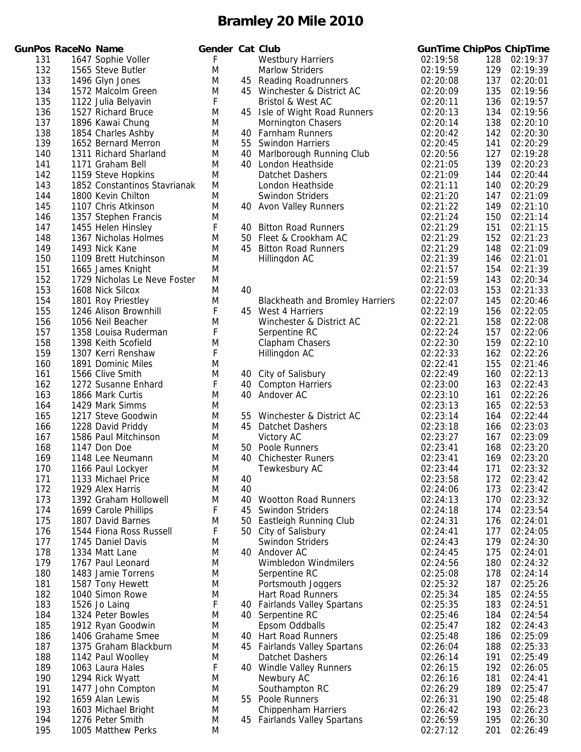|            | unPos RaceNo Name |                                        | Genc   |
|------------|-------------------|----------------------------------------|--------|
| 131        |                   | 1647 Sophie Voller                     | F.     |
| 132        |                   | 1565 Steve Butler                      | M      |
| 133        |                   | 1496 Glyn Jones                        | M      |
| 134        |                   | 1572 Malcolm Green                     | M      |
| 135        |                   | 1122 Julia Belyavin                    | F      |
| 136        |                   | 1527 Richard Bruce                     | M      |
| 137        |                   | 1896 Kawai Chung                       | Μ      |
| 138        |                   | 1854 Charles Ashby                     | Μ      |
| 139        |                   | 1652 Bernard Merron                    | M      |
| 140        |                   | 1311 Richard Sharland                  | Μ      |
| 141        |                   | 1171 Graham Bell                       | Μ      |
| 142        |                   | 1159 Steve Hopkins                     | Μ      |
| 143        |                   | 1852 Constantinos Stavrianak           | Μ      |
| 144        |                   | 1800 Kevin Chilton                     | Μ      |
| 145        |                   | 1107 Chris Atkinson                    | Μ      |
| 146        |                   | 1357 Stephen Francis                   | M      |
| 147        |                   | 1455 Helen Hinsley                     | F      |
| 148        |                   | 1367 Nicholas Holmes                   | M      |
| 149        |                   | 1493 Nick Kane                         | Μ      |
| 150        |                   | 1109 Brett Hutchinson                  | Μ      |
| 151        |                   | 1665 James Knight                      | Μ      |
| 152        |                   | 1729 Nicholas Le Neve Foster           | M      |
| 153        |                   | 1608 Nick Silcox                       | Μ      |
| 154        |                   | 1801 Roy Priestley                     | M      |
| 155        |                   | 1246 Alison Brownhill                  | F      |
| 156        |                   | 1056 Neil Beacher                      | M      |
| 157        |                   | 1358 Louisa Ruderman                   | F      |
| 158        |                   | 1398 Keith Scofield                    | M<br>F |
| 159        |                   | 1307 Kerri Renshaw                     |        |
| 160<br>161 |                   | 1891 Dominic Miles<br>1566 Clive Smith | Μ<br>M |
| 162        |                   | 1272 Susanne Enhard                    | F      |
| 163        |                   | 1866 Mark Curtis                       | Μ      |
| 164        |                   | 1429 Mark Simms                        | Μ      |
| 165        |                   | 1217 Steve Goodwin                     | M      |
| 166        |                   | 1228 David Priddy                      | M      |
| 167        |                   | 1586 Paul Mitchinson                   | M      |
| 168        |                   | 1147 Don Doe                           | Μ      |
| 169        |                   | 1148 Lee Neumann                       | Μ      |
| 170        |                   | 1166 Paul Lockyer                      | Μ      |
| 171        |                   | 1133 Michael Price                     | M      |
| 172        |                   | 1929 Alex Harris                       | Μ      |
| 173        |                   | 1392 Graham Hollowell                  | M      |
| 174        |                   | 1699 Carole Phillips                   | F      |
| 175        |                   | 1807 David Barnes                      | M      |
| 176        |                   | 1544 Fiona Ross Russell                | F      |
| 177        |                   | 1745 Daniel Davis                      | Μ      |
| 178        |                   | 1334 Matt Lane                         | M      |
| 179        |                   | 1767 Paul Leonard                      | Μ      |
| 180        |                   | 1483 Jamie Torrens                     | Μ      |
| 181        |                   | 1587 Tony Hewett                       | M      |
| 182        |                   | 1040 Simon Rowe                        | Μ      |
| 183        |                   | 1526 Jo Laing                          | F      |
| 184        |                   | 1324 Peter Bowles                      | Μ      |
| 185        |                   | 1912 Ryan Goodwin                      | M      |
| 186        |                   | 1406 Grahame Smee                      | Μ      |
| 187        |                   | 1375 Graham Blackburn                  | M      |
| 188        |                   | 1142 Paul Woolley                      | M      |
| 189        |                   | 1063 Laura Hales                       | F      |
| 190        |                   | 1294 Rick Wyatt                        | Μ      |
| 191        |                   | 1477 John Compton                      | Μ      |
| 192        |                   | 1659 Alan Lewis                        | Μ      |
| 193        |                   | 1603 Michael Bright                    | Μ      |
| 194        |                   | 1276 Peter Smith                       | M      |
| 195        |                   | 1005 Matthew Perks                     | M      |

|            | <b>GunPos RaceNo Name</b> |                                              | Gender Cat Club |          |                                                   |                      |            | <b>GunTime ChipPos ChipTime</b> |
|------------|---------------------------|----------------------------------------------|-----------------|----------|---------------------------------------------------|----------------------|------------|---------------------------------|
| 131        |                           | 1647 Sophie Voller                           | F               |          | <b>Westbury Harriers</b>                          | 02:19:58             | 128        | 02:19:37                        |
| 132        |                           | 1565 Steve Butler                            | M               |          | <b>Marlow Striders</b>                            | 02:19:59             | 129        | 02:19:39                        |
| 133        |                           | 1496 Glyn Jones                              | M               | 45       | <b>Reading Roadrunners</b>                        | 02:20:08             | 137        | 02:20:01                        |
| 134        |                           | 1572 Malcolm Green                           | M               |          | 45 Winchester & District AC                       | 02:20:09             | 135        | 02:19:56                        |
| 135        |                           | 1122 Julia Belyavin                          | F               |          | Bristol & West AC                                 | 02:20:11             | 136        | 02:19:57                        |
| 136        |                           | 1527 Richard Bruce                           | M               |          | 45 Isle of Wight Road Runners                     | 02:20:13             | 134        | 02:19:56                        |
| 137        |                           | 1896 Kawai Chung                             | M               |          | <b>Mornington Chasers</b>                         | 02:20:14             | 138        | 02:20:10                        |
| 138        |                           | 1854 Charles Ashby                           | M               |          | 40 Farnham Runners                                | 02:20:42             | 142        | 02:20:30                        |
| 139        |                           | 1652 Bernard Merron                          | M               | 55       | <b>Swindon Harriers</b>                           | 02:20:45             | 141        | 02:20:29                        |
| 140        |                           | 1311 Richard Sharland                        | M               | 40       | Marlborough Running Club                          | 02:20:56             | 127        | 02:19:28                        |
| 141        |                           | 1171 Graham Bell                             | M               |          | 40 London Heathside                               | 02:21:05             | 139        | 02:20:23                        |
| 142        |                           | 1159 Steve Hopkins                           | M               |          | Datchet Dashers                                   | 02:21:09             | 144        | 02:20:44                        |
| 143        |                           | 1852 Constantinos Stavrianak                 | M               |          | London Heathside                                  | 02:21:11             | 140        | 02:20:29                        |
| 144        |                           | 1800 Kevin Chilton                           | M               |          | Swindon Striders                                  | 02:21:20             | 147        | 02:21:09                        |
| 145        |                           | 1107 Chris Atkinson                          | M               |          | 40 Avon Valley Runners                            | 02:21:22             | 149        | 02:21:10                        |
| 146        |                           | 1357 Stephen Francis                         | M               |          |                                                   | 02:21:24             | 150        | 02:21:14                        |
| 147<br>148 |                           | 1455 Helen Hinsley<br>1367 Nicholas Holmes   | F<br>M          | 40<br>50 | <b>Bitton Road Runners</b><br>Fleet & Crookham AC | 02:21:29<br>02:21:29 | 151<br>152 | 02:21:15<br>02:21:23            |
| 149        |                           | 1493 Nick Kane                               | M               |          | 45 Bitton Road Runners                            | 02:21:29             | 148        | 02:21:09                        |
| 150        |                           | 1109 Brett Hutchinson                        | M               |          | Hillingdon AC                                     | 02:21:39             | 146        | 02:21:01                        |
| 151        |                           | 1665 James Knight                            | M               |          |                                                   | 02:21:57             | 154        | 02:21:39                        |
| 152        |                           | 1729 Nicholas Le Neve Foster                 | M               |          |                                                   | 02:21:59             | 143        | 02:20:34                        |
| 153        |                           | 1608 Nick Silcox                             | M               | 40       |                                                   | 02:22:03             | 153        | 02:21:33                        |
| 154        |                           | 1801 Roy Priestley                           | M               |          | <b>Blackheath and Bromley Harriers</b>            | 02:22:07             | 145        | 02:20:46                        |
| 155        |                           | 1246 Alison Brownhill                        | F               |          | 45 West 4 Harriers                                | 02:22:19             | 156        | 02:22:05                        |
| 156        |                           | 1056 Neil Beacher                            | M               |          | Winchester & District AC                          | 02:22:21             | 158        | 02:22:08                        |
| 157        |                           | 1358 Louisa Ruderman                         | F               |          | Serpentine RC                                     | 02:22:24             | 157        | 02:22:06                        |
| 158        |                           | 1398 Keith Scofield                          | M               |          | Clapham Chasers                                   | 02:22:30             | 159        | 02:22:10                        |
| 159        |                           | 1307 Kerri Renshaw                           | F               |          | Hillingdon AC                                     | 02:22:33             | 162        | 02:22:26                        |
| 160        |                           | 1891 Dominic Miles                           | M               |          |                                                   | 02:22:41             | 155        | 02:21:46                        |
| 161        |                           | 1566 Clive Smith                             | M               | 40       | City of Salisbury                                 | 02:22:49             | 160        | 02:22:13                        |
| 162        |                           | 1272 Susanne Enhard                          | F               | 40       | <b>Compton Harriers</b>                           | 02:23:00             | 163        | 02:22:43                        |
| 163        |                           | 1866 Mark Curtis                             | M               | 40       | Andover AC                                        | 02:23:10             | 161        | 02:22:26                        |
| 164        |                           | 1429 Mark Simms                              | M               |          |                                                   | 02:23:13             | 165        | 02:22:53                        |
| 165        |                           | 1217 Steve Goodwin                           | M               | 55       | Winchester & District AC                          | 02:23:14             | 164        | 02:22:44                        |
| 166        |                           | 1228 David Priddy                            | M               |          | 45 Datchet Dashers                                | 02:23:18             | 166        | 02:23:03                        |
| 167        |                           | 1586 Paul Mitchinson                         | M               |          | Victory AC                                        | 02:23:27             | 167        | 02:23:09                        |
| 168        |                           | 1147 Don Doe                                 | M               | 50       | Poole Runners                                     | 02:23:41             | 168        | 02:23:20                        |
| 169        |                           | 1148 Lee Neumann                             | M               | 40       | <b>Chichester Runers</b>                          | 02:23:41             | 169        | 02:23:20                        |
| 170        |                           | 1166 Paul Lockyer                            | M               |          | Tewkesbury AC                                     | 02:23:44             | 171        | 02:23:32                        |
| 171        |                           | 1133 Michael Price                           | M               | 40       |                                                   | 02:23:58             |            | 172 02:23:42                    |
| 172        |                           | 1929 Alex Harris                             | M               | 40       |                                                   | 02:24:06             | 173        | 02:23:42                        |
| 173        |                           | 1392 Graham Hollowell                        | M               | 40       | <b>Wootton Road Runners</b>                       | 02:24:13             | 170        | 02:23:32                        |
| 174        |                           | 1699 Carole Phillips                         | F               |          | 45 Swindon Striders                               | 02:24:18             | 174        | 02:23:54<br>02:24:01            |
| 175<br>176 |                           | 1807 David Barnes<br>1544 Fiona Ross Russell | M<br>F          | 50       | Eastleigh Running Club<br>50 City of Salisbury    | 02:24:31<br>02:24:41 | 176<br>177 | 02:24:05                        |
| 177        |                           | 1745 Daniel Davis                            | M               |          | Swindon Striders                                  | 02:24:43             | 179        | 02:24:30                        |
| 178        |                           | 1334 Matt Lane                               | M               |          | 40 Andover AC                                     | 02:24:45             | 175        | 02:24:01                        |
| 179        |                           | 1767 Paul Leonard                            | M               |          | Wimbledon Windmilers                              | 02:24:56             | 180        | 02:24:32                        |
| 180        |                           | 1483 Jamie Torrens                           | M               |          | Serpentine RC                                     | 02:25:08             | 178        | 02:24:14                        |
| 181        |                           | 1587 Tony Hewett                             | M               |          | Portsmouth Joggers                                | 02:25:32             | 187        | 02:25:26                        |
| 182        |                           | 1040 Simon Rowe                              | M               |          | Hart Road Runners                                 | 02:25:34             | 185        | 02:24:55                        |
| 183        |                           | 1526 Jo Laing                                | F               | 40       | <b>Fairlands Valley Spartans</b>                  | 02:25:35             | 183        | 02:24:51                        |
| 184        |                           | 1324 Peter Bowles                            | M               |          | 40 Serpentine RC                                  | 02:25:46             | 184        | 02:24:54                        |
| 185        |                           | 1912 Ryan Goodwin                            | M               |          | Epsom Oddballs                                    | 02:25:47             | 182        | 02:24:43                        |
| 186        |                           | 1406 Grahame Smee                            | M               |          | 40 Hart Road Runners                              | 02:25:48             | 186        | 02:25:09                        |
| 187        |                           | 1375 Graham Blackburn                        | M               |          | 45 Fairlands Valley Spartans                      | 02:26:04             | 188        | 02:25:33                        |
| 188        |                           | 1142 Paul Woolley                            | M               |          | Datchet Dashers                                   | 02:26:14             | 191        | 02:25:49                        |
| 189        |                           | 1063 Laura Hales                             | F               |          | 40 Windle Valley Runners                          | 02:26:15             | 192        | 02:26:05                        |
| 190        |                           | 1294 Rick Wyatt                              | M               |          | Newbury AC                                        | 02:26:16             | 181        | 02:24:41                        |
| 191        |                           | 1477 John Compton                            | M               |          | Southampton RC                                    | 02:26:29             | 189        | 02:25:47                        |
| 192        |                           | 1659 Alan Lewis                              | M               |          | 55 Poole Runners                                  | 02:26:31             | 190        | 02:25:48                        |
| 193        |                           | 1603 Michael Bright                          | M               |          | <b>Chippenham Harriers</b>                        | 02:26:42             | 193        | 02:26:23                        |
| 194        |                           | 1276 Peter Smith                             | M               |          | 45 Fairlands Valley Spartans                      | 02:26:59             | 195        | 02:26:30                        |
| 195        |                           | 1005 Matthew Perks                           | M               |          |                                                   | 02:27:12             | 201        | 02:26:49                        |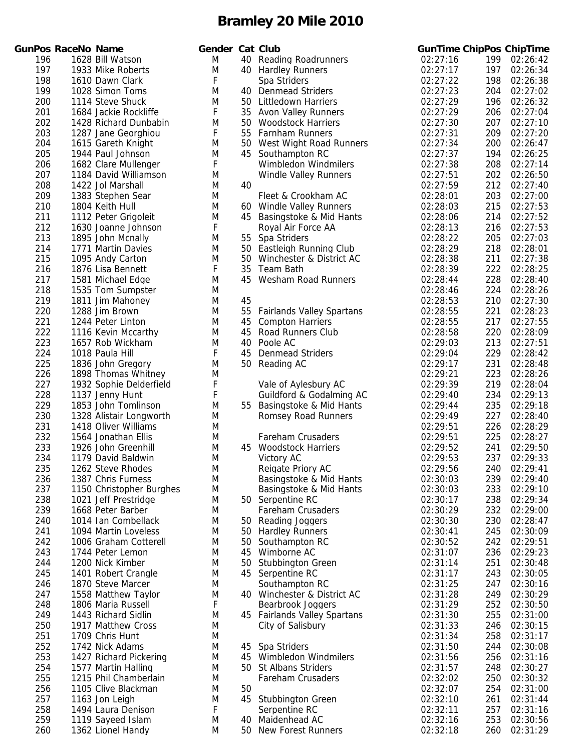|            | unPos RaceNo Name |                                             | Geno   |
|------------|-------------------|---------------------------------------------|--------|
| 196        |                   | 1628 Bill Watson                            | Μ      |
| 197        |                   | 1933 Mike Roberts                           | M      |
| 198        |                   | 1610 Dawn Clark                             | F.     |
| 199        |                   | 1028 Simon Toms                             | Μ      |
| 200        |                   | 1114 Steve Shuck                            | M      |
| 201        |                   | 1684 Jackie Rockliffe                       | F      |
| 202        |                   | 1428 Richard Dunbabin                       | Μ      |
| 203        |                   | 1287 Jane Georghiou                         | F      |
| 204        |                   | 1615 Gareth Knight                          | M      |
| 205        |                   | 1944 Paul Johnson                           | Μ      |
| 206        |                   | 1682 Clare Mullenger                        | F      |
| 207        |                   | 1184 David Williamson                       | M      |
| 208        |                   | 1422 Jol Marshall                           | M      |
| 209        |                   | 1383 Stephen Sear                           | M      |
| 210        |                   | 1804 Keith Hull                             | Μ      |
| 211<br>212 |                   | 1112 Peter Grigoleit                        | Μ<br>F |
| 213        |                   | 1630 Joanne Johnson<br>1895 John Mcnally    | Μ      |
| 214        |                   | 1771 Martin Davies                          | M      |
| 215        |                   | 1095 Andy Carton                            | Μ      |
| 216        |                   | 1876 Lisa Bennett                           | F      |
| 217        |                   | 1581 Michael Edge                           | Μ      |
| 218        |                   | 1535 Tom Sumpster                           | Μ      |
| 219        |                   | 1811 Jim Mahoney                            | Μ      |
| 220        |                   | 1288 Jim Brown                              | Μ      |
| 221        |                   | 1244 Peter Linton                           | Μ      |
| 222        |                   | 1116 Kevin Mccarthy                         | M      |
| 223        |                   | 1657 Rob Wickham                            | Μ      |
| 224        |                   | 1018 Paula Hill                             | F      |
| 225        |                   | 1836 John Gregory                           | Μ      |
| 226        |                   | 1898 Thomas Whitney                         | M      |
| 227        |                   | 1932 Sophie Delderfield                     | F      |
| 228        |                   | 1137 Jenny Hunt                             | F      |
| 229        |                   | 1853 John Tomlinson                         | M      |
| 230        |                   | 1328 Alistair Longworth                     | Μ      |
| 231<br>232 |                   | 1418 Oliver Williams<br>1564 Jonathan Ellis | Μ      |
| 233        |                   | 1926 John Greenhill                         | Μ<br>M |
| 234        |                   | 1179 David Baldwin                          | M      |
| 235        |                   | 1262 Steve Rhodes                           | M      |
| 236        |                   | 1387 Chris Furness                          | M      |
| 237        |                   | 1150 Christopher Burghes                    | M      |
| 238        |                   | 1021 Jeff Prestridge                        | Μ      |
| 239        |                   | 1668 Peter Barber                           | M      |
| 240        |                   | 1014 Ian Combellack                         | M      |
| 241        |                   | 1094 Martin Loveless                        | M      |
| 242        |                   | 1006 Graham Cotterell                       | M      |
| 243        |                   | 1744 Peter Lemon                            | Μ      |
| 244        |                   | 1200 Nick Kimber                            | Μ      |
| 245        |                   | 1401 Robert Crangle                         | M      |
| 246        |                   | 1870 Steve Marcer                           | M      |
| 247        |                   | 1558 Matthew Taylor                         | M      |
| 248        |                   | 1806 Maria Russell                          | F      |
| 249        |                   | 1443 Richard Sidlin                         | Μ      |
| 250<br>251 |                   | 1917 Matthew Cross<br>1709 Chris Hunt       | Μ<br>M |
| 252        |                   | 1742 Nick Adams                             | M      |
| 253        |                   | 1427 Richard Pickering                      | Μ      |
| 254        |                   | 1577 Martin Halling                         | M      |
| 255        |                   | 1215 Phil Chamberlain                       | Μ      |
| 256        |                   | 1105 Clive Blackman                         | M      |
| 257        |                   | 1163 Jon Leigh                              | M      |
| 258        |                   | 1494 Laura Denison                          | F      |
| 259        |                   | 1119 Sayeed Islam                           | Μ      |
| 260        |                   | 1362 Lionel Handy                           | Μ      |

|     | <b>GunPos RaceNo Name</b> |                          | Gender Cat Club |    |                                               |          |     | <b>GunTime ChipPos ChipTime</b> |
|-----|---------------------------|--------------------------|-----------------|----|-----------------------------------------------|----------|-----|---------------------------------|
| 196 |                           | 1628 Bill Watson         | M               |    | 40 Reading Roadrunners                        | 02:27:16 | 199 | 02:26:42                        |
| 197 |                           | 1933 Mike Roberts        | M               |    | 40 Hardley Runners                            | 02:27:17 | 197 | 02:26:34                        |
| 198 |                           | 1610 Dawn Clark          | F               |    | Spa Striders                                  | 02:27:22 | 198 | 02:26:38                        |
| 199 |                           | 1028 Simon Toms          | M               |    | 40 Denmead Striders                           | 02:27:23 | 204 | 02:27:02                        |
| 200 |                           | 1114 Steve Shuck         | M               |    | 50 Littledown Harriers                        | 02:27:29 | 196 | 02:26:32                        |
| 201 |                           | 1684 Jackie Rockliffe    | F               |    | 35 Avon Valley Runners                        | 02:27:29 | 206 | 02:27:04                        |
| 202 |                           | 1428 Richard Dunbabin    | M               |    | 50 Woodstock Harriers                         | 02:27:30 | 207 | 02:27:10                        |
| 203 |                           | 1287 Jane Georghiou      | F               | 55 | Farnham Runners                               | 02:27:31 | 209 | 02:27:20                        |
| 204 |                           | 1615 Gareth Knight       | M               |    | 50 West Wight Road Runners                    | 02:27:34 | 200 | 02:26:47                        |
| 205 |                           | 1944 Paul Johnson        | M               |    | 45 Southampton RC                             | 02:27:37 | 194 | 02:26:25                        |
| 206 |                           | 1682 Clare Mullenger     | F               |    | Wimbledon Windmilers                          | 02:27:38 | 208 | 02:27:14                        |
| 207 |                           | 1184 David Williamson    | M               |    | <b>Windle Valley Runners</b>                  | 02:27:51 | 202 | 02:26:50                        |
| 208 |                           | 1422 Jol Marshall        | M               | 40 |                                               | 02:27:59 | 212 | 02:27:40                        |
| 209 |                           | 1383 Stephen Sear        | M               |    | Fleet & Crookham AC                           | 02:28:01 | 203 | 02:27:00                        |
| 210 |                           | 1804 Keith Hull          | M               |    | 60 Windle Valley Runners                      | 02:28:03 | 215 | 02:27:53                        |
| 211 |                           | 1112 Peter Grigoleit     | M               |    | 45 Basingstoke & Mid Hants                    | 02:28:06 | 214 | 02:27:52                        |
| 212 |                           | 1630 Joanne Johnson      | F               |    | Royal Air Force AA                            | 02:28:13 | 216 | 02:27:53                        |
| 213 |                           | 1895 John Mcnally        | M               |    | 55 Spa Striders                               | 02:28:22 | 205 | 02:27:03                        |
| 214 |                           | 1771 Martin Davies       | M               |    | 50 Eastleigh Running Club                     | 02:28:29 | 218 | 02:28:01                        |
| 215 |                           |                          | M               |    | 50 Winchester & District AC                   | 02:28:38 | 211 | 02:27:38                        |
|     |                           | 1095 Andy Carton         |                 |    |                                               |          |     |                                 |
| 216 |                           | 1876 Lisa Bennett        | F               | 35 | <b>Team Bath</b>                              | 02:28:39 | 222 | 02:28:25                        |
| 217 |                           | 1581 Michael Edge        | M               |    | 45 Wesham Road Runners                        | 02:28:44 | 228 | 02:28:40                        |
| 218 |                           | 1535 Tom Sumpster        | M               |    |                                               | 02:28:46 | 224 | 02:28:26                        |
| 219 |                           | 1811 Jim Mahoney         | M               | 45 |                                               | 02:28:53 | 210 | 02:27:30                        |
| 220 |                           | 1288 Jim Brown           | M               | 55 | <b>Fairlands Valley Spartans</b>              | 02:28:55 | 221 | 02:28:23                        |
| 221 |                           | 1244 Peter Linton        | M               | 45 | <b>Compton Harriers</b>                       | 02:28:55 | 217 | 02:27:55                        |
| 222 |                           | 1116 Kevin Mccarthy      | M               | 45 | Road Runners Club                             | 02:28:58 | 220 | 02:28:09                        |
| 223 |                           | 1657 Rob Wickham         | M               | 40 | Poole AC                                      | 02:29:03 | 213 | 02:27:51                        |
| 224 |                           | 1018 Paula Hill          | F               | 45 | <b>Denmead Striders</b>                       | 02:29:04 | 229 | 02:28:42                        |
| 225 |                           | 1836 John Gregory        | M               |    | 50 Reading AC                                 | 02:29:17 | 231 | 02:28:48                        |
| 226 |                           | 1898 Thomas Whitney      | M               |    |                                               | 02:29:21 | 223 | 02:28:26                        |
| 227 |                           | 1932 Sophie Delderfield  | F               |    | Vale of Aylesbury AC                          | 02:29:39 | 219 | 02:28:04                        |
| 228 |                           | 1137 Jenny Hunt          | F               |    | Guildford & Godalming AC                      | 02:29:40 | 234 | 02:29:13                        |
| 229 |                           | 1853 John Tomlinson      | M               |    | 55 Basingstoke & Mid Hants                    | 02:29:44 | 235 | 02:29:18                        |
| 230 |                           | 1328 Alistair Longworth  | M               |    | <b>Romsey Road Runners</b>                    | 02:29:49 | 227 | 02:28:40                        |
| 231 |                           | 1418 Oliver Williams     | M               |    |                                               | 02:29:51 | 226 | 02:28:29                        |
| 232 |                           | 1564 Jonathan Ellis      | M               |    | Fareham Crusaders                             | 02:29:51 | 225 | 02:28:27                        |
| 233 |                           | 1926 John Greenhill      | M               |    | 45 Woodstock Harriers                         | 02:29:52 | 241 | 02:29:50                        |
| 234 |                           | 1179 David Baldwin       | M               |    | Victory AC                                    | 02:29:53 | 237 | 02:29:33                        |
| 235 |                           | 1262 Steve Rhodes        | M               |    | Reigate Priory AC                             | 02:29:56 | 240 | 02:29:41                        |
| 236 |                           | 1387 Chris Furness       | M               |    | Basingstoke & Mid Hants                       | 02:30:03 | 239 | 02:29:40                        |
| 237 |                           | 1150 Christopher Burghes | M               |    | Basingstoke & Mid Hants                       | 02:30:03 | 233 | 02:29:10                        |
| 238 |                           | 1021 Jeff Prestridge     | M               |    | 50 Serpentine RC                              | 02:30:17 | 238 | 02:29:34                        |
| 239 |                           | 1668 Peter Barber        | M               |    | Fareham Crusaders                             | 02:30:29 | 232 | 02:29:00                        |
| 240 |                           | 1014 Ian Combellack      | M               |    | 50 Reading Joggers                            | 02:30:30 | 230 | 02:28:47                        |
| 241 |                           | 1094 Martin Loveless     | M               | 50 | <b>Hardley Runners</b>                        | 02:30:41 | 245 | 02:30:09                        |
| 242 |                           | 1006 Graham Cotterell    | M               | 50 | Southampton RC                                | 02:30:52 | 242 | 02:29:51                        |
| 243 |                           | 1744 Peter Lemon         | M               | 45 | Wimborne AC                                   | 02:31:07 | 236 | 02:29:23                        |
| 244 |                           | 1200 Nick Kimber         | M               | 50 | Stubbington Green                             | 02:31:14 | 251 | 02:30:48                        |
| 245 |                           | 1401 Robert Crangle      | M               | 45 | Serpentine RC                                 | 02:31:17 | 243 | 02:30:05                        |
| 246 |                           | 1870 Steve Marcer        | M               |    | Southampton RC                                | 02:31:25 | 247 | 02:30:16                        |
| 247 |                           | 1558 Matthew Taylor      | M               |    | 40 Winchester & District AC                   | 02:31:28 | 249 | 02:30:29                        |
| 248 |                           | 1806 Maria Russell       | F               |    | Bearbrook Joggers                             | 02:31:29 | 252 | 02:30:50                        |
| 249 |                           | 1443 Richard Sidlin      | M               |    | 45 Fairlands Valley Spartans                  | 02:31:30 | 255 | 02:31:00                        |
| 250 |                           | 1917 Matthew Cross       | M               |    | City of Salisbury                             | 02:31:33 | 246 | 02:30:15                        |
| 251 |                           | 1709 Chris Hunt          | M               |    |                                               | 02:31:34 | 258 | 02:31:17                        |
| 252 |                           | 1742 Nick Adams          | M               | 45 | Spa Striders                                  | 02:31:50 | 244 | 02:30:08                        |
|     |                           |                          |                 |    |                                               |          |     |                                 |
| 253 |                           | 1427 Richard Pickering   | M               | 45 | Wimbledon Windmilers<br>50 St Albans Striders | 02:31:56 | 256 | 02:31:16                        |
| 254 |                           | 1577 Martin Halling      | M               |    |                                               | 02:31:57 | 248 | 02:30:27                        |
| 255 |                           | 1215 Phil Chamberlain    | M               |    | Fareham Crusaders                             | 02:32:02 | 250 | 02:30:32                        |
| 256 |                           | 1105 Clive Blackman      | M               | 50 |                                               | 02:32:07 | 254 | 02:31:00                        |
| 257 |                           | 1163 Jon Leigh           | M               | 45 | <b>Stubbington Green</b>                      | 02:32:10 | 261 | 02:31:44                        |
| 258 |                           | 1494 Laura Denison       | F               |    | Serpentine RC                                 | 02:32:11 | 257 | 02:31:16                        |
| 259 |                           | 1119 Sayeed Islam        | M               | 40 | Maidenhead AC                                 | 02:32:16 | 253 | 02:30:56                        |
| 260 |                           | 1362 Lionel Handy        | M               |    | 50 New Forest Runners                         | 02:32:18 | 260 | 02:31:29                        |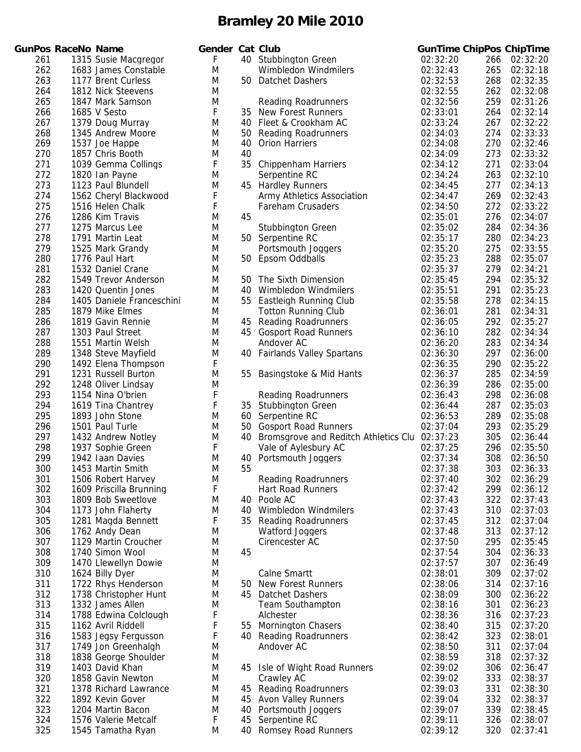|            | GunPos RaceNo Name |                                          | Gen    |
|------------|--------------------|------------------------------------------|--------|
| 261        |                    | 1315 Susie Macgregor                     | F      |
| 262        |                    | 1683 James Constable                     | M      |
|            |                    |                                          | M      |
| 263        |                    | 1177 Brent Curless<br>1812 Nick Steevens | N      |
| 264        |                    |                                          |        |
| 265        |                    | 1847 Mark Samson                         | N      |
| 266        |                    | 1685 V Sesto                             | F      |
| 267        |                    | 1379 Doug Murray                         | N      |
| 268        |                    | 1345 Andrew Moore                        | M      |
| 269        |                    | 1537 Joe Happe                           | N      |
| 270<br>271 |                    | 1857 Chris Booth<br>1039 Gemma Collings  | M<br>F |
| 272        |                    |                                          | M      |
| 273        |                    | 1820 Ian Payne<br>1123 Paul Blundell     | N      |
| 274        |                    | 1562 Cheryl Blackwood                    | F      |
| 275        |                    | 1516 Helen Chalk                         | F      |
| 276        |                    | 1286 Kim Travis                          | N      |
| 277        |                    | 1275 Marcus Lee                          | N      |
| 278        |                    | 1791 Martin Leat                         | M      |
| 279        |                    | 1525 Mark Grandy                         | M      |
| 280        |                    | 1776 Paul Hart                           | M      |
| 281        |                    | 1532 Daniel Crane                        | M      |
| 282        |                    | 1549 Trevor Anderson                     | M      |
| 283        |                    | 1420 Quentin Jones                       | M      |
| 284        |                    | 1405 Daniele Franceschini                | N      |
| 285        |                    | 1879 Mike Elmes                          | M      |
| 286        |                    | 1819 Gavin Rennie                        | M      |
| 287        |                    | 1303 Paul Street                         | N      |
| 288        |                    | 1551 Martin Welsh                        | M      |
| 289        |                    | 1348 Steve Mayfield                      | M      |
| 290        |                    | 1492 Elena Thompson                      | F      |
| 291        |                    | 1231 Russell Burton                      | M      |
| 292        |                    | 1248 Oliver Lindsay                      | N      |
| 293        |                    | 1154 Nina O'brien                        | F      |
| 294        |                    | 1619 Tina Chantrey                       | F      |
| 295        |                    | 1893 John Stone                          | M      |
| 296        |                    | 1501 Paul Turle                          | M      |
| 297        |                    | 1432 Andrew Notley                       | M      |
| 298        |                    | 1937 Sophie Green                        | F      |
| 299        |                    | 1942 Iaan Davies                         | N      |
| 300        |                    | 1453 Martin Smith                        | N      |
| 301        |                    | 1506 Robert Harvey                       | M      |
| 302        |                    | 1609 Priscilla Brunning                  | F      |
| 303        |                    | 1809 Bob Sweetlove                       | M      |
| 304        |                    | 1173 John Flaherty                       | N<br>F |
| 305        |                    | 1281 Magda Bennett                       | N      |
| 306<br>307 |                    | 1762 Andy Dean<br>1129 Martin Croucher   | N      |
| 308        |                    | 1740 Simon Wool                          | N      |
| 309        |                    | 1470 Llewellyn Dowie                     | M      |
| 310        |                    | 1624 Billy Dyer                          | M      |
| 311        |                    | 1722 Rhys Henderson                      | M      |
| 312        |                    | 1738 Christopher Hunt                    | M      |
| 313        |                    | 1332 James Allen                         | M      |
| 314        |                    | 1788 Edwina Colclough                    | F      |
| 315        |                    | 1162 Avril Riddell                       | F      |
| 316        |                    | 1583 Jegsy Fergusson                     | F      |
| 317        |                    | 1749 Jon Greenhalgh                      | N      |
| 318        |                    | 1838 George Shoulder                     | M      |
| 319        |                    | 1403 David Khan                          | N      |
| 320        |                    | 1858 Gavin Newton                        | M      |
| 321        |                    | 1378 Richard Lawrance                    | M      |
| 322        |                    | 1892 Kevin Gover                         | M      |
| 323        |                    | 1204 Martin Bacon                        | M      |
| 324        |                    | 1576 Valerie Metcalf                     | F      |
| 325        |                    | 1545 Tamatha Ryan                        | N      |

|            | <b>GunPos RaceNo Name</b> |                                           | Gender Cat Club |     |                                                        | <b>GunTime ChipPos ChipTime</b> |            |                      |
|------------|---------------------------|-------------------------------------------|-----------------|-----|--------------------------------------------------------|---------------------------------|------------|----------------------|
| 261        |                           | 1315 Susie Macgregor                      | F               |     | 40 Stubbington Green                                   | 02:32:20                        | 266        | 02:32:20             |
| 262        |                           | 1683 James Constable                      | M               |     | Wimbledon Windmilers                                   | 02:32:43                        | 265        | 02:32:18             |
| 263        |                           | 1177 Brent Curless                        | M               | 50  | <b>Datchet Dashers</b>                                 | 02:32:53                        | 268        | 02:32:35             |
| 264        |                           | 1812 Nick Steevens                        | M               |     |                                                        | 02:32:55                        | 262        | 02:32:08             |
| 265        |                           | 1847 Mark Samson                          | M               |     | <b>Reading Roadrunners</b>                             | 02:32:56                        | 259        | 02:31:26             |
| 266        |                           | 1685 V Sesto                              | F               | 35  | New Forest Runners                                     | 02:33:01                        | 264        | 02:32:14             |
| 267        |                           | 1379 Doug Murray                          | M               | 40  | Fleet & Crookham AC                                    | 02:33:24                        | 267        | 02:32:22             |
| 268        |                           | 1345 Andrew Moore                         | M               | 50  | <b>Reading Roadrunners</b>                             | 02:34:03                        | 274        | 02:33:33             |
| 269        |                           | 1537 Joe Happe                            | M               | 40  | <b>Orion Harriers</b>                                  | 02:34:08                        | 270        | 02:32:46             |
| 270        |                           | 1857 Chris Booth                          | M               | 40  |                                                        | 02:34:09                        | 273        | 02:33:32             |
| 271        |                           | 1039 Gemma Collings                       | F               | 35  | <b>Chippenham Harriers</b>                             | 02:34:12                        | 271        | 02:33:04             |
| 272        |                           | 1820 Ian Payne                            | M               |     | Serpentine RC                                          | 02:34:24                        | 263        | 02:32:10             |
| 273<br>274 |                           | 1123 Paul Blundell                        | M<br>F          |     | 45 Hardley Runners                                     | 02:34:45                        | 277<br>269 | 02:34:13<br>02:32:43 |
| 275        |                           | 1562 Cheryl Blackwood<br>1516 Helen Chalk | F               |     | Army Athletics Association<br><b>Fareham Crusaders</b> | 02:34:47<br>02:34:50            | 272        | 02:33:22             |
| 276        |                           | 1286 Kim Travis                           | M               | 45  |                                                        | 02:35:01                        | 276        | 02:34:07             |
| 277        |                           | 1275 Marcus Lee                           | M               |     | <b>Stubbington Green</b>                               | 02:35:02                        | 284        | 02:34:36             |
| 278        |                           | 1791 Martin Leat                          | M               |     | 50 Serpentine RC                                       | 02:35:17                        | 280        | 02:34:23             |
| 279        |                           | 1525 Mark Grandy                          | M               |     | Portsmouth Joggers                                     | 02:35:20                        | 275        | 02:33:55             |
| 280        |                           | 1776 Paul Hart                            | M               |     | 50 Epsom Oddballs                                      | 02:35:23                        | 288        | 02:35:07             |
| 281        |                           | 1532 Daniel Crane                         | M               |     |                                                        | 02:35:37                        | 279        | 02:34:21             |
| 282        |                           | 1549 Trevor Anderson                      | M               | 50. | The Sixth Dimension                                    | 02:35:45                        | 294        | 02:35:32             |
| 283        |                           | 1420 Quentin Jones                        | M               | 40  | Wimbledon Windmilers                                   | 02:35:51                        | 291        | 02:35:23             |
| 284        |                           | 1405 Daniele Franceschini                 | M               |     | 55 Eastleigh Running Club                              | 02:35:58                        | 278        | 02:34:15             |
| 285        |                           | 1879 Mike Elmes                           | M               |     | <b>Totton Running Club</b>                             | 02:36:01                        | 281        | 02:34:31             |
| 286        |                           | 1819 Gavin Rennie                         | M               |     | 45 Reading Roadrunners                                 | 02:36:05                        | 292        | 02:35:27             |
| 287        |                           | 1303 Paul Street                          | M               |     | 45 Gosport Road Runners                                | 02:36:10                        | 282        | 02:34:34             |
| 288        |                           | 1551 Martin Welsh                         | M               |     | Andover AC                                             | 02:36:20                        | 283        | 02:34:34             |
| 289        |                           | 1348 Steve Mayfield                       | M               |     | 40 Fairlands Valley Spartans                           | 02:36:30                        | 297        | 02:36:00             |
| 290        |                           | 1492 Elena Thompson                       | F               |     |                                                        | 02:36:35                        | 290        | 02:35:22             |
| 291        |                           | 1231 Russell Burton                       | M               | 55  | Basingstoke & Mid Hants                                | 02:36:37                        | 285        | 02:34:59             |
| 292        |                           | 1248 Oliver Lindsay                       | M               |     |                                                        | 02:36:39                        | 286        | 02:35:00             |
| 293        |                           | 1154 Nina O'brien                         | F               |     | <b>Reading Roadrunners</b>                             | 02:36:43                        | 298        | 02:36:08             |
| 294        |                           | 1619 Tina Chantrey                        | F               |     | 35 Stubbington Green                                   | 02:36:44                        | 287        | 02:35:03             |
| 295        |                           | 1893 John Stone                           | M               | 60  | Serpentine RC                                          | 02:36:53                        | 289        | 02:35:08             |
| 296        |                           | 1501 Paul Turle                           | M               | 50  | <b>Gosport Road Runners</b>                            | 02:37:04                        | 293        | 02:35:29             |
| 297        |                           | 1432 Andrew Notley                        | M               |     | 40 Bromsgrove and Reditch Athletics Clu 02:37:23       |                                 | 305        | 02:36:44             |
| 298        |                           | 1937 Sophie Green                         | F               |     | Vale of Aylesbury AC                                   | 02:37:25                        | 296        | 02:35:50             |
| 299        |                           | 1942 Iaan Davies                          | M               | 40  | Portsmouth Joggers                                     | 02:37:34                        | 308        | 02:36:50             |
| 300        |                           | 1453 Martin Smith                         | M               | 55  |                                                        | 02:37:38                        | 303        | 02:36:33             |
| 301        |                           | 1506 Robert Harvey                        | M               |     | <b>Reading Roadrunners</b>                             | 02:37:40                        | 302        | 02:36:29             |
| 302        |                           | 1609 Priscilla Brunning                   | F               |     | <b>Hart Road Runners</b>                               | 02:37:42                        | 299        | 02:36:12             |
| 303        |                           | 1809 Bob Sweetlove<br>1173 John Flaherty  | M               |     | 40 Poole AC                                            | 02:37:43                        | 322        | 02:37:43             |
| 304<br>305 |                           |                                           | M<br>F          | 40  | Wimbledon Windmilers                                   | 02:37:43<br>02:37:45            | 310<br>312 | 02:37:03<br>02:37:04 |
| 306        |                           | 1281 Magda Bennett<br>1762 Andy Dean      | M               |     | 35 Reading Roadrunners<br><b>Watford Joggers</b>       | 02:37:48                        | 313        | 02:37:12             |
| 307        |                           | 1129 Martin Croucher                      | M               |     | Cirencester AC                                         | 02:37:50                        | 295        | 02:35:45             |
| 308        |                           | 1740 Simon Wool                           | M               | 45  |                                                        | 02:37:54                        | 304        | 02:36:33             |
| 309        |                           | 1470 Llewellyn Dowie                      | M               |     |                                                        | 02:37:57                        | 307        | 02:36:49             |
| 310        |                           | 1624 Billy Dyer                           | M               |     | <b>Calne Smartt</b>                                    | 02:38:01                        | 309        | 02:37:02             |
| 311        |                           | 1722 Rhys Henderson                       | M               |     | 50 New Forest Runners                                  | 02:38:06                        | 314        | 02:37:16             |
| 312        |                           | 1738 Christopher Hunt                     | M               | 45  | Datchet Dashers                                        | 02:38:09                        | 300        | 02:36:22             |
| 313        |                           | 1332 James Allen                          | M               |     | <b>Team Southampton</b>                                | 02:38:16                        | 301        | 02:36:23             |
| 314        |                           | 1788 Edwina Colclough                     | F               |     | Alchester                                              | 02:38:36                        | 316        | 02:37:23             |
| 315        |                           | 1162 Avril Riddell                        | F               | 55  | <b>Mornington Chasers</b>                              | 02:38:40                        | 315        | 02:37:20             |
| 316        |                           | 1583 Jegsy Fergusson                      | F               |     | 40 Reading Roadrunners                                 | 02:38:42                        | 323        | 02:38:01             |
| 317        |                           | 1749 Jon Greenhalgh                       | M               |     | Andover AC                                             | 02:38:50                        | 311        | 02:37:04             |
| 318        |                           | 1838 George Shoulder                      | M               |     |                                                        | 02:38:59                        | 318        | 02:37:32             |
| 319        |                           | 1403 David Khan                           | M               |     | 45 Isle of Wight Road Runners                          | 02:39:02                        | 306        | 02:36:47             |
| 320        |                           | 1858 Gavin Newton                         | M               |     | Crawley AC                                             | 02:39:02                        | 333        | 02:38:37             |
| 321        |                           | 1378 Richard Lawrance                     | M               | 45  | <b>Reading Roadrunners</b>                             | 02:39:03                        | 331        | 02:38:30             |
| 322        |                           | 1892 Kevin Gover                          | M               |     | 45 Avon Valley Runners                                 | 02:39:04                        | 332        | 02:38:37             |
| 323        |                           | 1204 Martin Bacon                         | M               |     | 40 Portsmouth Joggers                                  | 02:39:07                        | 339        | 02:38:45             |
| 324        |                           | 1576 Valerie Metcalf                      | F               |     | 45 Serpentine RC                                       | 02:39:11                        | 326        | 02:38:07             |
| 325        |                           | 1545 Tamatha Ryan                         | M               |     | 40 Romsey Road Runners                                 | 02:39:12                        |            | 320 02:37:41         |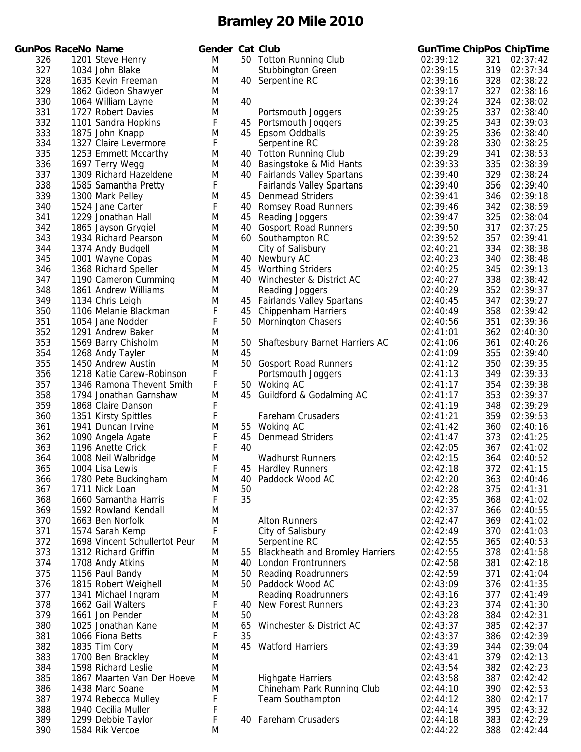|            | unPos RaceNo Name |                                              |
|------------|-------------------|----------------------------------------------|
| 326        |                   | 1201 Steve Henry                             |
| 327        |                   | 1034 John Blake                              |
| 328        |                   | 1635 Kevin Freeman                           |
| 329        |                   | 1862 Gideon Shawyer                          |
| 330        |                   | 1064 William Lavne                           |
| 331        |                   | 1727 Robert Davies                           |
| 332<br>333 |                   | 1101 Sandra Hopkins<br>1875 John Knapp       |
| 334        |                   | 1327 Claire Levermore                        |
| 335        |                   | 1253 Emmett Mccarthy                         |
| 336        |                   | 1697 Terry Wegg                              |
| 337        |                   | 1309 Richard Hazeldene                       |
| 338        |                   | 1585 Samantha Pretty                         |
| 339        |                   | 1300 Mark Pelley                             |
| 340        |                   | 1524 Jane Carter                             |
| 341        |                   | 1229 Jonathan Hall                           |
| 342        |                   | 1865 Jayson Grygiel                          |
| 343        |                   | 1934 Richard Pearson                         |
| 344        |                   | 1374 Andy Budgell                            |
| 345        |                   | 1001 Wayne Copas                             |
| 346<br>347 |                   | 1368 Richard Speller<br>1190 Cameron Cumming |
| 348        |                   | 1861 Andrew Williams                         |
| 349        |                   | 1134 Chris Leigh                             |
| 350        |                   | 1106 Melanie Blackman                        |
| 351        |                   | 1054 Jane Nodder                             |
| 352        |                   | 1291 Andrew Baker                            |
| 353        |                   | 1569 Barry Chisholm                          |
| 354        |                   | 1268 Andy Tayler                             |
| 355        |                   | 1450 Andrew Austin                           |
| 356        |                   | 1218 Katie Carew-Robinson                    |
| 357        |                   | 1346 Ramona Thevent Smith                    |
| 358        |                   | 1794 Jonathan Garnshaw                       |
| 359        |                   | 1868 Claire Danson                           |
| 360        |                   | 1351 Kirsty Spittles<br>1941 Duncan Irvine   |
| 361<br>362 |                   | 1090 Angela Agate                            |
| 363        |                   | 1196 Anette Crick                            |
| 364        |                   | 1008 Neil Walbridge                          |
| 365        |                   | 1004 Lisa Lewis                              |
| 366        |                   | 1780 Pete Buckingham                         |
| 367        |                   | 1711 Nick Loan                               |
| 368        |                   | 1660 Samantha Harris                         |
| 369        |                   | 1592 Rowland Kendall                         |
| 370        |                   | 1663 Ben Norfolk                             |
| 371        |                   | 1574 Sarah Kemp                              |
| 372        |                   | 1698 Vincent Schullertot Peur                |
| 373        |                   | 1312 Richard Griffin                         |
| 374<br>375 |                   | 1708 Andy Atkins<br>1156 Paul Bandy          |
| 376        |                   | 1815 Robert Weighell                         |
| 377        |                   | 1341 Michael Ingram                          |
| 378        |                   | 1662 Gail Walters                            |
| 379        |                   | 1661 Jon Pender                              |
| 380        |                   | 1025 Jonathan Kane                           |
| 381        |                   | 1066 Fiona Betts                             |
| 382        |                   | 1835 Tim Cory                                |
| 383        |                   | 1700 Ben Brackley                            |
| 384        |                   | 1598 Richard Leslie                          |
| 385        |                   | 1867 Maarten Van Der Hoeve                   |
| 386        |                   | 1438 Marc Soane                              |
| 387<br>388 |                   | 1974 Rebecca Mulley<br>1940 Cecilia Muller   |
| 389        |                   | 1299 Debbie Taylor                           |
| 390        |                   | 1584 Rik Vercoe                              |
|            |                   |                                              |

|     | <b>GunPos RaceNo Name</b> |                               | Gender Cat Club |    |                                        | <b>GunTime ChipPos ChipTime</b> |     |          |
|-----|---------------------------|-------------------------------|-----------------|----|----------------------------------------|---------------------------------|-----|----------|
| 326 |                           | 1201 Steve Henry              | M               |    | 50 Totton Running Club                 | 02:39:12                        | 321 | 02:37:42 |
| 327 |                           | 1034 John Blake               | M               |    | Stubbington Green                      | 02:39:15                        | 319 | 02:37:34 |
| 328 |                           | 1635 Kevin Freeman            | M               |    | 40 Serpentine RC                       | 02:39:16                        | 328 | 02:38:22 |
| 329 |                           | 1862 Gideon Shawyer           | M               |    |                                        | 02:39:17                        | 327 | 02:38:16 |
| 330 |                           | 1064 William Layne            | M               | 40 |                                        | 02:39:24                        | 324 | 02:38:02 |
| 331 |                           | 1727 Robert Davies            | M               |    | Portsmouth Joggers                     | 02:39:25                        | 337 | 02:38:40 |
| 332 |                           | 1101 Sandra Hopkins           | F               | 45 | Portsmouth Joggers                     | 02:39:25                        | 343 | 02:39:03 |
| 333 |                           | 1875 John Knapp               | M               |    | 45 Epsom Oddballs                      | 02:39:25                        | 336 | 02:38:40 |
| 334 |                           | 1327 Claire Levermore         | F               |    | Serpentine RC                          | 02:39:28                        | 330 | 02:38:25 |
| 335 |                           | 1253 Emmett Mccarthy          | M               |    | 40 Totton Running Club                 | 02:39:29                        | 341 | 02:38:53 |
| 336 |                           | 1697 Terry Wegg               | M               | 40 | Basingstoke & Mid Hants                | 02:39:33                        | 335 | 02:38:39 |
| 337 |                           | 1309 Richard Hazeldene        | M               |    | 40 Fairlands Valley Spartans           | 02:39:40                        | 329 | 02:38:24 |
| 338 |                           | 1585 Samantha Pretty          | F               |    | <b>Fairlands Valley Spartans</b>       | 02:39:40                        | 356 | 02:39:40 |
| 339 |                           | 1300 Mark Pelley              | M               | 45 | <b>Denmead Striders</b>                | 02:39:41                        | 346 | 02:39:18 |
| 340 |                           | 1524 Jane Carter              | F               | 40 | <b>Romsey Road Runners</b>             | 02:39:46                        | 342 | 02:38:59 |
| 341 |                           | 1229 Jonathan Hall            | M               | 45 | Reading Joggers                        | 02:39:47                        | 325 | 02:38:04 |
| 342 |                           | 1865 Jayson Grygiel           | M               | 40 | <b>Gosport Road Runners</b>            | 02:39:50                        | 317 | 02:37:25 |
| 343 |                           | 1934 Richard Pearson          | M               |    | 60 Southampton RC                      | 02:39:52                        | 357 | 02:39:41 |
| 344 |                           | 1374 Andy Budgell             | M               |    | City of Salisbury                      | 02:40:21                        | 334 | 02:38:38 |
| 345 |                           | 1001 Wayne Copas              | M               |    | 40 Newbury AC                          | 02:40:23                        | 340 | 02:38:48 |
| 346 |                           | 1368 Richard Speller          | M               | 45 | <b>Worthing Striders</b>               | 02:40:25                        | 345 | 02:39:13 |
| 347 |                           | 1190 Cameron Cumming          | M               |    | 40 Winchester & District AC            | 02:40:27                        | 338 | 02:38:42 |
| 348 |                           | 1861 Andrew Williams          | M               |    | Reading Joggers                        | 02:40:29                        | 352 | 02:39:37 |
| 349 |                           | 1134 Chris Leigh              | M               |    | 45 Fairlands Valley Spartans           | 02:40:45                        | 347 | 02:39:27 |
| 350 |                           | 1106 Melanie Blackman         | F               | 45 | <b>Chippenham Harriers</b>             | 02:40:49                        | 358 | 02:39:42 |
| 351 |                           | 1054 Jane Nodder              | F               | 50 | <b>Mornington Chasers</b>              | 02:40:56                        | 351 | 02:39:36 |
| 352 |                           | 1291 Andrew Baker             | M               |    |                                        | 02:41:01                        | 362 | 02:40:30 |
| 353 |                           | 1569 Barry Chisholm           | M               | 50 | Shaftesbury Barnet Harriers AC         | 02:41:06                        | 361 | 02:40:26 |
| 354 |                           | 1268 Andy Tayler              | M               | 45 |                                        | 02:41:09                        | 355 | 02:39:40 |
| 355 |                           | 1450 Andrew Austin            | M               |    | 50 Gosport Road Runners                | 02:41:12                        | 350 | 02:39:35 |
| 356 |                           | 1218 Katie Carew-Robinson     | F               |    | Portsmouth Joggers                     | 02:41:13                        | 349 | 02:39:33 |
| 357 |                           | 1346 Ramona Thevent Smith     | F               |    | 50 Woking AC                           | 02:41:17                        | 354 | 02:39:38 |
| 358 |                           | 1794 Jonathan Garnshaw        | M               |    | 45 Guildford & Godalming AC            | 02:41:17                        | 353 | 02:39:37 |
| 359 |                           | 1868 Claire Danson            | F               |    |                                        | 02:41:19                        | 348 | 02:39:29 |
| 360 |                           | 1351 Kirsty Spittles          | F               |    | Fareham Crusaders                      | 02:41:21                        | 359 | 02:39:53 |
| 361 |                           | 1941 Duncan Irvine            | M               |    | 55 Woking AC                           | 02:41:42                        | 360 | 02:40:16 |
| 362 |                           | 1090 Angela Agate             | F               | 45 | <b>Denmead Striders</b>                | 02:41:47                        | 373 | 02:41:25 |
| 363 |                           | 1196 Anette Crick             | F               | 40 |                                        | 02:42:05                        | 367 | 02:41:02 |
| 364 |                           | 1008 Neil Walbridge           | M               |    | <b>Wadhurst Runners</b>                | 02:42:15                        | 364 | 02:40:52 |
| 365 |                           | 1004 Lisa Lewis               | F               |    | 45 Hardley Runners                     | 02:42:18                        | 372 | 02:41:15 |
| 366 |                           | 1780 Pete Buckingham          | M               | 40 | Paddock Wood AC                        | 02:42:20                        | 363 | 02:40:46 |
| 367 |                           | 1711 Nick Loan                | M               | 50 |                                        | 02:42:28                        | 375 | 02:41:31 |
| 368 |                           | 1660 Samantha Harris          | F               | 35 |                                        | 02:42:35                        | 368 | 02:41:02 |
| 369 |                           | 1592 Rowland Kendall          | M               |    |                                        | 02:42:37                        | 366 | 02:40:55 |
| 370 |                           | 1663 Ben Norfolk              | M               |    | <b>Alton Runners</b>                   | 02:42:47                        | 369 | 02:41:02 |
| 371 |                           | 1574 Sarah Kemp               | F               |    | City of Salisbury                      | 02:42:49                        | 370 | 02:41:03 |
| 372 |                           | 1698 Vincent Schullertot Peur | M               |    | Serpentine RC                          | 02:42:55                        | 365 | 02:40:53 |
| 373 |                           | 1312 Richard Griffin          | M               | 55 | <b>Blackheath and Bromley Harriers</b> | 02:42:55                        | 378 | 02:41:58 |
| 374 |                           | 1708 Andy Atkins              | M               | 40 | London Frontrunners                    | 02:42:58                        | 381 | 02:42:18 |
| 375 |                           | 1156 Paul Bandy               | M               | 50 | <b>Reading Roadrunners</b>             | 02:42:59                        | 371 | 02:41:04 |
| 376 |                           | 1815 Robert Weighell          | M               |    | 50 Paddock Wood AC                     | 02:43:09                        | 376 | 02:41:35 |
| 377 |                           | 1341 Michael Ingram           | M               |    | <b>Reading Roadrunners</b>             | 02:43:16                        | 377 | 02:41:49 |
| 378 |                           | 1662 Gail Walters             | F               | 40 | <b>New Forest Runners</b>              | 02:43:23                        | 374 | 02:41:30 |
| 379 |                           | 1661 Jon Pender               | M               | 50 |                                        | 02:43:28                        | 384 | 02:42:31 |
| 380 |                           | 1025 Jonathan Kane            | M               | 65 | Winchester & District AC               | 02:43:37                        | 385 | 02:42:37 |
| 381 |                           | 1066 Fiona Betts              | F               | 35 |                                        | 02:43:37                        | 386 | 02:42:39 |
| 382 |                           | 1835 Tim Cory                 | M               | 45 | <b>Watford Harriers</b>                | 02:43:39                        | 344 | 02:39:04 |
| 383 |                           | 1700 Ben Brackley             | M               |    |                                        | 02:43:41                        | 379 | 02:42:13 |
| 384 |                           | 1598 Richard Leslie           | M               |    |                                        | 02:43:54                        | 382 | 02:42:23 |
| 385 |                           | 1867 Maarten Van Der Hoeve    | M               |    | <b>Highgate Harriers</b>               | 02:43:58                        | 387 | 02:42:42 |
| 386 |                           | 1438 Marc Soane               | M               |    | Chineham Park Running Club             | 02:44:10                        | 390 | 02:42:53 |
| 387 |                           | 1974 Rebecca Mulley           | F               |    | <b>Team Southampton</b>                | 02:44:12                        | 380 | 02:42:17 |
| 388 |                           | 1940 Cecilia Muller           | F               |    |                                        | 02:44:14                        | 395 | 02:43:32 |
| 389 |                           | 1299 Debbie Taylor            | F               |    | 40 Fareham Crusaders                   | 02:44:18                        | 383 | 02:42:29 |
| 390 |                           | 1584 Rik Vercoe               | M               |    |                                        | 02:44:22                        | 388 | 02:42:44 |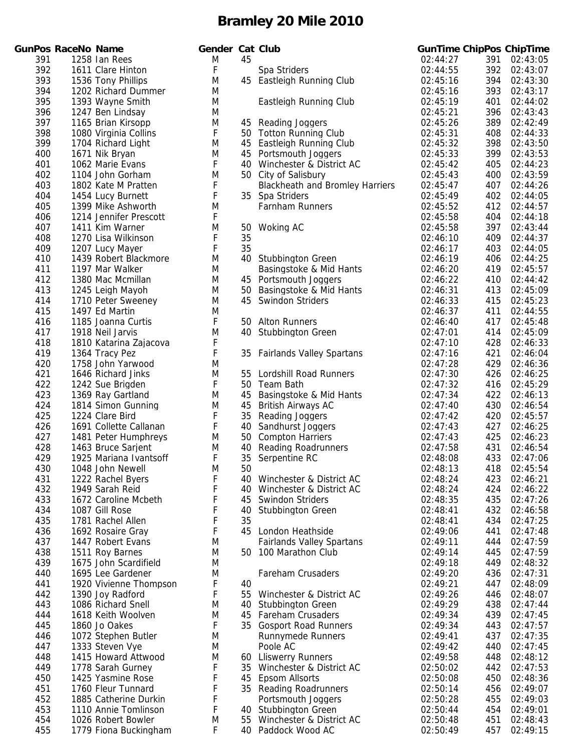|            | unPos RaceNo Name |                                             | Geno   |
|------------|-------------------|---------------------------------------------|--------|
| 391        |                   | 1258 Ian Rees                               | M      |
| 392        |                   | 1611 Clare Hinton                           | F      |
| 393        |                   | 1536 Tony Phillips                          | M      |
| 394        |                   | 1202 Richard Dummer                         | Μ      |
| 395        |                   | 1393 Wayne Smith<br>1247 Ben Lindsay        | Μ      |
| 396<br>397 |                   | 1165 Brian Kirsopp                          | Μ<br>M |
| 398        |                   | 1080 Virginia Collins                       | F      |
| 399        |                   | 1704 Richard Light                          | M      |
| 400        |                   | 1671 Nik Bryan                              | M      |
| 401        |                   | 1062 Marie Evans                            | F      |
| 402        |                   | 1104 John Gorham                            | M      |
| 403        |                   | 1802 Kate M Pratten                         | F<br>F |
| 404<br>405 |                   | 1454 Lucy Burnett<br>1399 Mike Ashworth     | M      |
| 406        |                   | 1214 Jennifer Prescott                      | F      |
| 407        |                   | 1411 Kim Warner                             | M      |
| 408        |                   | 1270 Lisa Wilkinson                         | F      |
| 409        |                   | 1207 Lucy Mayer                             | F      |
| 410        |                   | 1439 Robert Blackmore                       | M      |
| 411        |                   | 1197 Mar Walker                             | M      |
| 412<br>413 |                   | 1380 Mac Mcmillan<br>1245 Leigh Mayoh       | M<br>M |
| 414        |                   | 1710 Peter Sweeney                          | Μ      |
| 415        |                   | 1497 Ed Martin                              | M      |
| 416        |                   | 1185 Joanna Curtis                          | F      |
| 417        |                   | 1918 Neil Jarvis                            | M      |
| 418        |                   | 1810 Katarina Zajacova                      | F      |
| 419        |                   | 1364 Tracy Pez                              | F      |
| 420<br>421 |                   | 1758 John Yarwood<br>1646 Richard Jinks     | M<br>M |
| 422        |                   | 1242 Sue Brigden                            | F      |
| 423        |                   | 1369 Ray Gartland                           | M      |
| 424        |                   | 1814 Simon Gunning                          | M      |
| 425        |                   | 1224 Clare Bird                             | F      |
| 426        |                   | 1691 Collette Callanan                      | F      |
| 427        |                   | 1481 Peter Humphreys<br>1463 Bruce Sarjent  | Μ      |
| 428<br>429 |                   | 1925 Mariana Ivantsoff                      | Μ<br>F |
| 430        |                   | 1048 John Newell                            | M      |
| 431        |                   | 1222 Rachel Byers                           | F      |
| 432        |                   | 1949 Sarah Reid                             | F      |
| 433        |                   | 1672 Caroline Mcbeth                        | F      |
| 434        |                   | 1087 Gill Rose                              | F      |
| 435<br>436 |                   | 1781 Rachel Allen<br>1692 Rosaire Gray      | F<br>F |
| 437        |                   | 1447 Robert Evans                           | M      |
| 438        |                   | 1511 Roy Barnes                             | M      |
| 439        |                   | 1675 John Scardifield                       | M      |
| 440        |                   | 1695 Lee Gardener                           | Μ      |
| 441        |                   | 1920 Vivienne Thompson                      | F      |
| 442        |                   | 1390 Joy Radford                            | F      |
| 443<br>444 |                   | 1086 Richard Snell<br>1618 Keith Woolven    | M<br>M |
| 445        |                   | 1860 Jo Oakes                               | F      |
| 446        |                   | 1072 Stephen Butler                         | M      |
| 447        |                   | 1333 Steven Vye                             | M      |
| 448        |                   | 1415 Howard Attwood                         | Μ      |
| 449        |                   | 1778 Sarah Gurney                           | F      |
| 450        |                   | 1425 Yasmine Rose                           | F<br>F |
| 451<br>452 |                   | 1760 Fleur Tunnard<br>1885 Catherine Durkin | F      |
| 453        |                   | 1110 Annie Tomlinson                        | F      |
| 454        |                   | 1026 Robert Bowler                          | M      |
| 455        |                   | 1779 Fiona Buckingham                       | F      |

|     | <b>GunPos RaceNo Name</b> |                        | Gender Cat Club |    |                                        | <b>GunTime ChipPos ChipTime</b> |     |              |
|-----|---------------------------|------------------------|-----------------|----|----------------------------------------|---------------------------------|-----|--------------|
| 391 |                           | 1258 Ian Rees          | M               | 45 |                                        | 02:44:27                        | 391 | 02:43:05     |
| 392 |                           | 1611 Clare Hinton      | F               |    | Spa Striders                           | 02:44:55                        | 392 | 02:43:07     |
| 393 |                           | 1536 Tony Phillips     | M               |    | 45 Eastleigh Running Club              | 02:45:16                        | 394 | 02:43:30     |
| 394 |                           | 1202 Richard Dummer    | M               |    |                                        | 02:45:16                        | 393 | 02:43:17     |
| 395 |                           | 1393 Wayne Smith       | M               |    | Eastleigh Running Club                 | 02:45:19                        | 401 | 02:44:02     |
| 396 |                           | 1247 Ben Lindsay       | M               |    |                                        | 02:45:21                        | 396 | 02:43:43     |
| 397 |                           | 1165 Brian Kirsopp     | M               |    | 45 Reading Joggers                     | 02:45:26                        | 389 | 02:42:49     |
| 398 |                           | 1080 Virginia Collins  | F               |    | 50 Totton Running Club                 | 02:45:31                        | 408 | 02:44:33     |
| 399 |                           | 1704 Richard Light     | M               | 45 | Eastleigh Running Club                 | 02:45:32                        | 398 | 02:43:50     |
| 400 |                           | 1671 Nik Bryan         | M               | 45 | Portsmouth Joggers                     | 02:45:33                        | 399 | 02:43:53     |
| 401 |                           | 1062 Marie Evans       | F               | 40 | Winchester & District AC               | 02:45:42                        | 405 | 02:44:23     |
| 402 |                           | 1104 John Gorham       | M               |    | 50 City of Salisbury                   | 02:45:43                        | 400 | 02:43:59     |
| 403 |                           | 1802 Kate M Pratten    | F               |    | <b>Blackheath and Bromley Harriers</b> | 02:45:47                        | 407 | 02:44:26     |
| 404 |                           | 1454 Lucy Burnett      | F               |    | 35 Spa Striders                        | 02:45:49                        | 402 | 02:44:05     |
| 405 |                           | 1399 Mike Ashworth     | M               |    | Farnham Runners                        | 02:45:52                        | 412 | 02:44:57     |
| 406 |                           | 1214 Jennifer Prescott | F               |    |                                        | 02:45:58                        | 404 | 02:44:18     |
| 407 |                           | 1411 Kim Warner        | M               | 50 | Woking AC                              | 02:45:58                        | 397 | 02:43:44     |
| 408 |                           | 1270 Lisa Wilkinson    | F               | 35 |                                        | 02:46:10                        | 409 | 02:44:37     |
| 409 |                           | 1207 Lucy Mayer        | F               | 35 |                                        | 02:46:17                        | 403 | 02:44:05     |
| 410 |                           | 1439 Robert Blackmore  | M               |    | 40 Stubbington Green                   | 02:46:19                        | 406 | 02:44:25     |
| 411 |                           | 1197 Mar Walker        | M               |    | Basingstoke & Mid Hants                | 02:46:20                        | 419 | 02:45:57     |
| 412 |                           | 1380 Mac Mcmillan      | M               |    | 45 Portsmouth Joggers                  | 02:46:22                        | 410 | 02:44:42     |
| 413 |                           | 1245 Leigh Mayoh       | M               | 50 | Basingstoke & Mid Hants                | 02:46:31                        | 413 | 02:45:09     |
| 414 |                           | 1710 Peter Sweeney     | M               | 45 | Swindon Striders                       | 02:46:33                        | 415 | 02:45:23     |
| 415 |                           |                        |                 |    |                                        |                                 |     |              |
| 416 |                           | 1497 Ed Martin         | M               |    |                                        | 02:46:37                        | 411 | 02:44:55     |
|     |                           | 1185 Joanna Curtis     | F               |    | 50 Alton Runners                       | 02:46:40                        | 417 | 02:45:48     |
| 417 |                           | 1918 Neil Jarvis       | M               |    | 40 Stubbington Green                   | 02:47:01                        | 414 | 02:45:09     |
| 418 |                           | 1810 Katarina Zajacova | F               |    |                                        | 02:47:10                        | 428 | 02:46:33     |
| 419 |                           | 1364 Tracy Pez         | F               | 35 | <b>Fairlands Valley Spartans</b>       | 02:47:16                        | 421 | 02:46:04     |
| 420 |                           | 1758 John Yarwood      | M               |    |                                        | 02:47:28                        | 429 | 02:46:36     |
| 421 |                           | 1646 Richard Jinks     | M               | 55 | <b>Lordshill Road Runners</b>          | 02:47:30                        | 426 | 02:46:25     |
| 422 |                           | 1242 Sue Brigden       | F               |    | 50 Team Bath                           | 02:47:32                        | 416 | 02:45:29     |
| 423 |                           | 1369 Ray Gartland      | M               | 45 | Basingstoke & Mid Hants                | 02:47:34                        | 422 | 02:46:13     |
| 424 |                           | 1814 Simon Gunning     | M               | 45 | British Airways AC                     | 02:47:40                        | 430 | 02:46:54     |
| 425 |                           | 1224 Clare Bird        | F               | 35 | Reading Joggers                        | 02:47:42                        | 420 | 02:45:57     |
| 426 |                           | 1691 Collette Callanan | F               | 40 | Sandhurst Joggers                      | 02:47:43                        | 427 | 02:46:25     |
| 427 |                           | 1481 Peter Humphreys   | M               | 50 | <b>Compton Harriers</b>                | 02:47:43                        | 425 | 02:46:23     |
| 428 |                           | 1463 Bruce Sarjent     | M               | 40 | <b>Reading Roadrunners</b>             | 02:47:58                        | 431 | 02:46:54     |
| 429 |                           | 1925 Mariana Ivantsoff | F               | 35 | Serpentine RC                          | 02:48:08                        | 433 | 02:47:06     |
| 430 |                           | 1048 John Newell       | M               | 50 |                                        | 02:48:13                        |     | 418 02:45:54 |
| 431 |                           | 1222 Rachel Byers      | F               |    | 40 Winchester & District AC            | 02:48:24                        | 423 | 02:46:21     |
| 432 |                           | 1949 Sarah Reid        | F               |    | 40 Winchester & District AC            | 02:48:24                        | 424 | 02:46:22     |
| 433 |                           | 1672 Caroline Mcbeth   | F               | 45 | <b>Swindon Striders</b>                | 02:48:35                        | 435 | 02:47:26     |
| 434 |                           | 1087 Gill Rose         | F               | 40 | <b>Stubbington Green</b>               | 02:48:41                        | 432 | 02:46:58     |
| 435 |                           | 1781 Rachel Allen      | F               | 35 |                                        | 02:48:41                        | 434 | 02:47:25     |
| 436 |                           | 1692 Rosaire Gray      | F               | 45 | London Heathside                       | 02:49:06                        | 441 | 02:47:48     |
| 437 |                           | 1447 Robert Evans      | M               |    | <b>Fairlands Valley Spartans</b>       | 02:49:11                        | 444 | 02:47:59     |
| 438 |                           | 1511 Roy Barnes        | M               |    | 50 100 Marathon Club                   | 02:49:14                        | 445 | 02:47:59     |
| 439 |                           | 1675 John Scardifield  | M               |    |                                        | 02:49:18                        | 449 | 02:48:32     |
| 440 |                           | 1695 Lee Gardener      | M               |    | Fareham Crusaders                      | 02:49:20                        | 436 | 02:47:31     |
| 441 |                           | 1920 Vivienne Thompson | F               | 40 |                                        | 02:49:21                        | 447 | 02:48:09     |
| 442 |                           | 1390 Joy Radford       | F               | 55 | Winchester & District AC               | 02:49:26                        | 446 | 02:48:07     |
| 443 |                           | 1086 Richard Snell     | M               | 40 | <b>Stubbington Green</b>               | 02:49:29                        | 438 | 02:47:44     |
| 444 |                           | 1618 Keith Woolven     | M               | 45 | <b>Fareham Crusaders</b>               | 02:49:34                        | 439 | 02:47:45     |
| 445 |                           | 1860 Jo Oakes          | F               | 35 | <b>Gosport Road Runners</b>            | 02:49:34                        | 443 | 02:47:57     |
| 446 |                           | 1072 Stephen Butler    | M               |    | <b>Runnymede Runners</b>               | 02:49:41                        | 437 | 02:47:35     |
| 447 |                           | 1333 Steven Vye        | M               |    | Poole AC                               | 02:49:42                        | 440 | 02:47:45     |
| 448 |                           | 1415 Howard Attwood    | M               |    | 60 Lliswerry Runners                   | 02:49:58                        | 448 | 02:48:12     |
| 449 |                           | 1778 Sarah Gurney      | F               |    | 35 Winchester & District AC            | 02:50:02                        | 442 | 02:47:53     |
| 450 |                           | 1425 Yasmine Rose      | F               | 45 | <b>Epsom Allsorts</b>                  | 02:50:08                        | 450 | 02:48:36     |
| 451 |                           | 1760 Fleur Tunnard     | F               |    | 35 Reading Roadrunners                 | 02:50:14                        | 456 | 02:49:07     |
| 452 |                           | 1885 Catherine Durkin  | F               |    | Portsmouth Joggers                     | 02:50:28                        | 455 | 02:49:03     |
| 453 |                           | 1110 Annie Tomlinson   | F               |    | 40 Stubbington Green                   | 02:50:44                        | 454 | 02:49:01     |
| 454 |                           | 1026 Robert Bowler     | M               |    | 55 Winchester & District AC            | 02:50:48                        | 451 | 02:48:43     |
| 455 |                           | 1779 Fiona Buckingham  | F               |    | 40 Paddock Wood AC                     | 02:50:49                        | 457 | 02:49:15     |
|     |                           |                        |                 |    |                                        |                                 |     |              |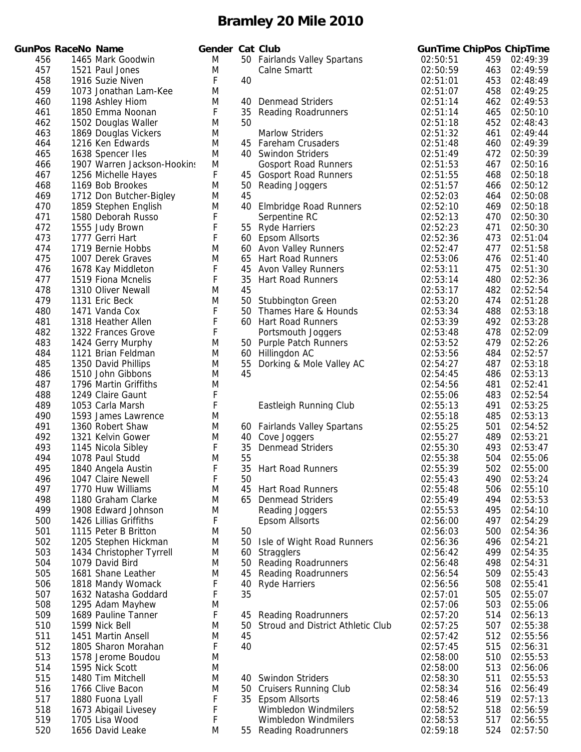|            | <b>SunPos RaceNo Name</b> |                                           | C |
|------------|---------------------------|-------------------------------------------|---|
| 456        |                           | 1465 Mark Goodwin                         |   |
| 457        |                           | 1521 Paul Jones                           |   |
| 458        |                           | 1916 Suzie Niven                          |   |
| 459        |                           | 1073 Jonathan Lam-Kee                     |   |
| 460        |                           | 1198 Ashley Hiom                          |   |
| 461        |                           | 1850 Emma Noonan                          |   |
| 462        |                           | 1502 Douglas Waller                       |   |
| 463        |                           | 1869 Douglas Vickers                      |   |
| 464        |                           | 1216 Ken Edwards                          |   |
| 465        |                           | 1638 Spencer Iles                         |   |
| 466        |                           | 1907 Warren Jackson-Hookins               |   |
| 467        |                           | 1256 Michelle Hayes                       |   |
| 468        |                           | 1169 Bob Brookes                          |   |
| 469        |                           | 1712 Don Butcher-Bigley                   |   |
| 470        |                           | 1859 Stephen English                      |   |
| 471        |                           | 1580 Deborah Russo                        |   |
| 472        |                           | 1555 Judy Brown                           |   |
| 473        |                           | 1777 Gerri Hart                           |   |
| 474        |                           | 1719 Bernie Hobbs                         |   |
| 475        |                           | 1007 Derek Graves                         |   |
| 476        |                           | 1678 Kay Middleton<br>1519 Fiona Mcnelis  |   |
| 477        |                           |                                           |   |
| 478<br>479 |                           | 1310 Oliver Newall<br>1131 Eric Beck      |   |
| 480        |                           | 1471 Vanda Cox                            |   |
| 481        |                           | 1318 Heather Allen                        |   |
| 482        |                           | 1322 Frances Grove                        |   |
| 483        |                           | 1424 Gerry Murphy                         |   |
| 484        |                           | 1121 Brian Feldman                        |   |
| 485        |                           | 1350 David Phillips                       |   |
| 486        |                           | 1510 John Gibbons                         |   |
| 487        |                           | 1796 Martin Griffiths                     |   |
| 488        |                           | 1249 Claire Gaunt                         |   |
| 489        |                           | 1053 Carla Marsh                          |   |
| 490        |                           | 1593 James Lawrence                       |   |
| 491        |                           | 1360 Robert Shaw                          |   |
| 492        |                           | 1321 Kelvin Gower                         |   |
| 493        |                           | 1145 Nicola Sibley                        |   |
| 494        |                           | 1078 Paul Studd                           |   |
| 495        |                           | 1840 Angela Austin                        |   |
| 496        |                           | 1047 Claire Newell                        |   |
| 497        |                           | 1770 Huw Williams                         |   |
| 498<br>499 |                           | 1180 Graham Clarke<br>1908 Edward Johnson |   |
| 500        |                           | 1426 Lillias Griffiths                    |   |
| 501        |                           | 1115 Peter B Britton                      |   |
| 502        |                           | 1205 Stephen Hickman                      |   |
| 503        |                           | 1434 Christopher Tyrrell                  |   |
| 504        |                           | 1079 David Bird                           |   |
| 505        |                           | 1681 Shane Leather                        |   |
| 506        |                           | 1818 Mandy Womack                         |   |
| 507        |                           | 1632 Natasha Goddard                      |   |
| 508        |                           | 1295 Adam Mayhew                          |   |
| 509        |                           | 1689 Pauline Tanner                       |   |
| 510        |                           | 1599 Nick Bell                            |   |
| 511        |                           | 1451 Martin Ansell                        |   |
| 512        |                           | 1805 Sharon Morahan                       |   |
| 513        |                           | 1578 Jerome Boudou                        |   |
| 514        |                           | 1595 Nick Scott                           |   |
| 515        |                           | 1480 Tim Mitchell                         |   |
| 516        |                           | 1766 Clive Bacon                          |   |
| 517        |                           | 1880 Fuona Lyall                          |   |
| 518        |                           | 1673 Abigail Livesey                      |   |
| 519        |                           | 1705 Lisa Wood                            |   |
| 520        |                           | 1656 David Leake                          |   |

|     | <b>GunPos RaceNo Name</b> |                             | Gender Cat Club |     |                                   |          |     | <b>GunTime ChipPos ChipTime</b> |
|-----|---------------------------|-----------------------------|-----------------|-----|-----------------------------------|----------|-----|---------------------------------|
| 456 |                           | 1465 Mark Goodwin           | M               |     | 50 Fairlands Valley Spartans      | 02:50:51 | 459 | 02:49:39                        |
| 457 |                           | 1521 Paul Jones             | M               |     | Calne Smartt                      | 02:50:59 | 463 | 02:49:59                        |
| 458 |                           | 1916 Suzie Niven            | F               | 40  |                                   | 02:51:01 | 453 | 02:48:49                        |
| 459 |                           | 1073 Jonathan Lam-Kee       | M               |     |                                   | 02:51:07 | 458 | 02:49:25                        |
| 460 |                           | 1198 Ashley Hiom            | M               | 40  | <b>Denmead Striders</b>           | 02:51:14 | 462 | 02:49:53                        |
| 461 |                           | 1850 Emma Noonan            | F               | 35  | <b>Reading Roadrunners</b>        | 02:51:14 | 465 | 02:50:10                        |
| 462 |                           | 1502 Douglas Waller         | M               | 50  |                                   | 02:51:18 | 452 | 02:48:43                        |
| 463 |                           | 1869 Douglas Vickers        | M               |     | <b>Marlow Striders</b>            | 02:51:32 | 461 | 02:49:44                        |
| 464 |                           | 1216 Ken Edwards            | M               | 45  | <b>Fareham Crusaders</b>          | 02:51:48 | 460 | 02:49:39                        |
| 465 |                           | 1638 Spencer Iles           | M               | 40. | <b>Swindon Striders</b>           | 02:51:49 | 472 | 02:50:39                        |
| 466 |                           | 1907 Warren Jackson-Hookins | M               |     | <b>Gosport Road Runners</b>       | 02:51:53 | 467 | 02:50:16                        |
| 467 |                           | 1256 Michelle Hayes         | F               | 45  | <b>Gosport Road Runners</b>       | 02:51:55 | 468 | 02:50:18                        |
| 468 |                           | 1169 Bob Brookes            | M               | 50  | Reading Joggers                   | 02:51:57 | 466 | 02:50:12                        |
| 469 |                           | 1712 Don Butcher-Bigley     | M               | 45  |                                   | 02:52:03 | 464 | 02:50:08                        |
| 470 |                           | 1859 Stephen English        | M               | 40  | <b>Elmbridge Road Runners</b>     | 02:52:10 | 469 | 02:50:18                        |
| 471 |                           | 1580 Deborah Russo          | F               |     | Serpentine RC                     | 02:52:13 | 470 | 02:50:30                        |
| 472 |                           | 1555 Judy Brown             | F               |     | 55 Ryde Harriers                  | 02:52:23 | 471 | 02:50:30                        |
| 473 |                           | 1777 Gerri Hart             | F               | 60  | Epsom Allsorts                    | 02:52:36 | 473 | 02:51:04                        |
| 474 |                           | 1719 Bernie Hobbs           | M               |     | 60 Avon Valley Runners            | 02:52:47 | 477 | 02:51:58                        |
| 475 |                           | 1007 Derek Graves           | M               | 65  | <b>Hart Road Runners</b>          | 02:53:06 | 476 | 02:51:40                        |
| 476 |                           | 1678 Kay Middleton          | F               | 45  | <b>Avon Valley Runners</b>        | 02:53:11 | 475 | 02:51:30                        |
| 477 |                           | 1519 Fiona Mcnelis          | F               | 35  | <b>Hart Road Runners</b>          | 02:53:14 | 480 | 02:52:36                        |
| 478 |                           | 1310 Oliver Newall          | M               | 45  |                                   | 02:53:17 | 482 | 02:52:54                        |
| 479 |                           | 1131 Eric Beck              | M               |     | 50 Stubbington Green              | 02:53:20 | 474 | 02:51:28                        |
| 480 |                           | 1471 Vanda Cox              | F               | 50  | Thames Hare & Hounds              | 02:53:34 | 488 | 02:53:18                        |
| 481 |                           | 1318 Heather Allen          | F               | 60  | <b>Hart Road Runners</b>          | 02:53:39 | 492 | 02:53:28                        |
| 482 |                           | 1322 Frances Grove          | F               |     | Portsmouth Joggers                | 02:53:48 | 478 | 02:52:09                        |
| 483 |                           | 1424 Gerry Murphy           | M               |     | 50 Purple Patch Runners           | 02:53:52 | 479 | 02:52:26                        |
| 484 |                           | 1121 Brian Feldman          | M               | 60  | Hillingdon AC                     | 02:53:56 | 484 | 02:52:57                        |
| 485 |                           | 1350 David Phillips         | M               | 55  | Dorking & Mole Valley AC          | 02:54:27 | 487 | 02:53:18                        |
| 486 |                           | 1510 John Gibbons           | M               | 45  |                                   | 02:54:45 | 486 | 02:53:13                        |
| 487 |                           | 1796 Martin Griffiths       | M               |     |                                   | 02:54:56 | 481 | 02:52:41                        |
| 488 |                           | 1249 Claire Gaunt           | F               |     |                                   | 02:55:06 | 483 | 02:52:54                        |
| 489 |                           | 1053 Carla Marsh            | F               |     | Eastleigh Running Club            | 02:55:13 | 491 | 02:53:25                        |
| 490 |                           | 1593 James Lawrence         | M               |     |                                   | 02:55:18 | 485 | 02:53:13                        |
| 491 |                           | 1360 Robert Shaw            | M               | 60  | <b>Fairlands Valley Spartans</b>  | 02:55:25 | 501 | 02:54:52                        |
| 492 |                           | 1321 Kelvin Gower           | M               | 40  | Cove Joggers                      | 02:55:27 | 489 | 02:53:21                        |
| 493 |                           | 1145 Nicola Sibley          | F               | 35  | <b>Denmead Striders</b>           | 02:55:30 | 493 | 02:53:47                        |
| 494 |                           |                             | M               | 55  |                                   | 02:55:38 | 504 | 02:55:06                        |
|     |                           | 1078 Paul Studd             |                 |     |                                   |          |     |                                 |
| 495 |                           | 1840 Angela Austin          | F               | 35  | Hart Road Runners                 | 02:55:39 | 502 | 02:55:00                        |
| 496 |                           | 1047 Claire Newell          | F               | 50  |                                   | 02:55:43 | 490 | 02:53:24                        |
| 497 |                           | 1770 Huw Williams           | M               | 45  | <b>Hart Road Runners</b>          | 02:55:48 | 506 | 02:55:10                        |
| 498 |                           | 1180 Graham Clarke          | M               |     | 65 Denmead Striders               | 02:55:49 | 494 | 02:53:53                        |
| 499 |                           | 1908 Edward Johnson         | M               |     | Reading Joggers                   | 02:55:53 | 495 | 02:54:10                        |
| 500 |                           | 1426 Lillias Griffiths      | F               |     | <b>Epsom Allsorts</b>             | 02:56:00 | 497 | 02:54:29                        |
| 501 |                           | 1115 Peter B Britton        | M               | 50  |                                   | 02:56:03 | 500 | 02:54:36                        |
| 502 |                           | 1205 Stephen Hickman        | M               | 50  | Isle of Wight Road Runners        | 02:56:36 | 496 | 02:54:21                        |
| 503 |                           | 1434 Christopher Tyrrell    | M               |     | 60 Stragglers                     | 02:56:42 | 499 | 02:54:35                        |
| 504 |                           | 1079 David Bird             | M               |     | 50 Reading Roadrunners            | 02:56:48 | 498 | 02:54:31                        |
| 505 |                           | 1681 Shane Leather          | M               |     | 45 Reading Roadrunners            | 02:56:54 | 509 | 02:55:43                        |
| 506 |                           | 1818 Mandy Womack           | F               |     | 40 Ryde Harriers                  | 02:56:56 | 508 | 02:55:41                        |
| 507 |                           | 1632 Natasha Goddard        | F               | 35  |                                   | 02:57:01 | 505 | 02:55:07                        |
| 508 |                           | 1295 Adam Mayhew            | M               |     |                                   | 02:57:06 | 503 | 02:55:06                        |
| 509 |                           | 1689 Pauline Tanner         | F               | 45  | <b>Reading Roadrunners</b>        | 02:57:20 | 514 | 02:56:13                        |
| 510 |                           | 1599 Nick Bell              | M               | 50  | Stroud and District Athletic Club | 02:57:25 | 507 | 02:55:38                        |
| 511 |                           | 1451 Martin Ansell          | M               | 45  |                                   | 02:57:42 | 512 | 02:55:56                        |
| 512 |                           | 1805 Sharon Morahan         | F               | 40  |                                   | 02:57:45 | 515 | 02:56:31                        |
| 513 |                           | 1578 Jerome Boudou          | M               |     |                                   | 02:58:00 | 510 | 02:55:53                        |
| 514 |                           | 1595 Nick Scott             | M               |     |                                   | 02:58:00 | 513 | 02:56:06                        |
| 515 |                           | 1480 Tim Mitchell           | M               |     | 40 Swindon Striders               | 02:58:30 | 511 | 02:55:53                        |
| 516 |                           | 1766 Clive Bacon            | M               |     | 50 Cruisers Running Club          | 02:58:34 | 516 | 02:56:49                        |
| 517 |                           | 1880 Fuona Lyall            | F               |     | 35 Epsom Allsorts                 | 02:58:46 | 519 | 02:57:13                        |
| 518 |                           | 1673 Abigail Livesey        | F               |     | Wimbledon Windmilers              | 02:58:52 | 518 | 02:56:59                        |
| 519 |                           | 1705 Lisa Wood              | F               |     | Wimbledon Windmilers              | 02:58:53 | 517 | 02:56:55                        |
| 520 |                           | 1656 David Leake            | M               |     | 55 Reading Roadrunners            | 02:59:18 | 524 | 02:57:50                        |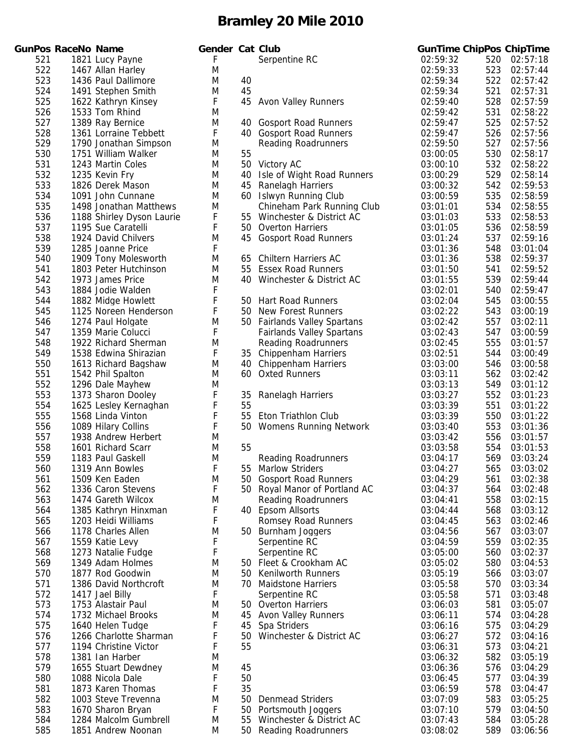|            | iunPos RaceNo Name |                                               |
|------------|--------------------|-----------------------------------------------|
| 521        |                    | 1821 Lucy Payne                               |
| 522        |                    | 1467 Allan Harley                             |
| 523        |                    | 1436 Paul Dallimore                           |
| 524        |                    | 1491 Stephen Smith                            |
| 525        |                    | 1622 Kathryn Kinsey                           |
| 526        |                    | 1533 Tom Rhind                                |
| 527        |                    | 1389 Ray Bernice                              |
| 528        |                    | 1361 Lorraine Tebbett                         |
| 529        |                    | 1790 Jonathan Simpson                         |
| 530        |                    | 1751 William Walker                           |
| 531        |                    | 1243 Martin Coles                             |
| 532        |                    | 1235 Kevin Fry                                |
| 533        |                    | 1826 Derek Mason                              |
| 534        |                    | 1091 John Cunnane                             |
| 535        |                    | 1498 Jonathan Matthews                        |
| 536        |                    | 1188 Shirley Dyson Laurie                     |
| 537        |                    | 1195 Sue Caratelli                            |
| 538        |                    | 1924 David Chilvers                           |
| 539        |                    | 1285 Joanne Price                             |
| 540        |                    | 1909 Tony Molesworth<br>1803 Peter Hutchinson |
| 541        |                    |                                               |
| 542        |                    | 1973 James Price                              |
| 543<br>544 |                    | 1884 Jodie Walden<br>1882 Midge Howlett       |
| 545        |                    | 1125 Noreen Henderson                         |
| 546        |                    | 1274 Paul Holgate                             |
| 547        |                    | 1359 Marie Colucci                            |
| 548        |                    | 1922 Richard Sherman                          |
| 549        |                    | 1538 Edwina Shirazian                         |
| 550        |                    | 1613 Richard Bagshaw                          |
| 551        |                    | 1542 Phil Spalton                             |
| 552        |                    | 1296 Dale Mayhew                              |
| 553        |                    | 1373 Sharon Dooley                            |
| 554        |                    | 1625 Lesley Kernaghan                         |
| 555        |                    | 1568 Linda Vinton                             |
| 556        |                    | 1089 Hilary Collins                           |
| 557        |                    | 1938 Andrew Herbert                           |
| 558        |                    | 1601 Richard Scarr                            |
| 559        |                    | 1183 Paul Gaskell                             |
| 560        |                    | 1319 Ann Bowles                               |
| 561        |                    | 1509 Ken Eaden                                |
| 562        |                    | 1336 Caron Stevens                            |
| 563        |                    | 1474 Gareth Wilcox                            |
| 564        |                    | 1385 Kathryn Hinxman                          |
| 565        |                    | 1203 Heidi Williams                           |
| 566        |                    | 1178 Charles Allen                            |
| 567        |                    | 1559 Katie Levy                               |
| 568        |                    | 1273 Natalie Fudge                            |
| 569        |                    | 1349 Adam Holmes                              |
| 570<br>571 |                    | 1877 Rod Goodwin<br>1386 David Northcroft     |
| 572        |                    | 1417 Jael Billy                               |
| 573        |                    | 1753 Alastair Paul                            |
| 574        |                    | 1732 Michael Brooks                           |
| 575        |                    | 1640 Helen Tudge                              |
| 576        |                    | 1266 Charlotte Sharman                        |
| 577        |                    | 1194 Christine Victor                         |
| 578        |                    | 1381 Ian Harber                               |
| 579        |                    | 1655 Stuart Dewdney                           |
| 580        |                    | 1088 Nicola Dale                              |
| 581        |                    | 1873 Karen Thomas                             |
| 582        |                    | 1003 Steve Trevenna                           |
| 583        |                    | 1670 Sharon Bryan                             |
| 584        |                    | 1284 Malcolm Gumbrell                         |
| 585        |                    | 1851 Andrew Noonan                            |

|     | <b>GunPos RaceNo Name</b> |                           | Gender Cat Club |     |                                  |          |     | <b>GunTime ChipPos ChipTime</b> |
|-----|---------------------------|---------------------------|-----------------|-----|----------------------------------|----------|-----|---------------------------------|
| 521 |                           | 1821 Lucy Payne           | F               |     | Serpentine RC                    | 02:59:32 | 520 | 02:57:18                        |
| 522 |                           | 1467 Allan Harley         | M               |     |                                  | 02:59:33 | 523 | 02:57:44                        |
| 523 |                           | 1436 Paul Dallimore       | M               | 40  |                                  | 02:59:34 | 522 | 02:57:42                        |
| 524 |                           | 1491 Stephen Smith        | M               | 45  |                                  | 02:59:34 | 521 | 02:57:31                        |
| 525 |                           | 1622 Kathryn Kinsey       | F               |     | 45 Avon Valley Runners           | 02:59:40 | 528 | 02:57:59                        |
| 526 |                           | 1533 Tom Rhind            | M               |     |                                  | 02:59:42 | 531 | 02:58:22                        |
| 527 |                           | 1389 Ray Bernice          | M               |     | 40 Gosport Road Runners          | 02:59:47 | 525 | 02:57:52                        |
| 528 |                           | 1361 Lorraine Tebbett     | F               |     | 40 Gosport Road Runners          | 02:59:47 | 526 | 02:57:56                        |
| 529 |                           | 1790 Jonathan Simpson     | M               |     | <b>Reading Roadrunners</b>       | 02:59:50 | 527 | 02:57:56                        |
| 530 |                           | 1751 William Walker       | M               | 55  |                                  | 03:00:05 | 530 | 02:58:17                        |
| 531 |                           | 1243 Martin Coles         | M               |     | 50 Victory AC                    | 03:00:10 | 532 | 02:58:22                        |
| 532 |                           | 1235 Kevin Fry            | M               | 40  | Isle of Wight Road Runners       | 03:00:29 | 529 | 02:58:14                        |
| 533 |                           | 1826 Derek Mason          | M               | 45  | <b>Ranelagh Harriers</b>         | 03:00:32 | 542 | 02:59:53                        |
| 534 |                           | 1091 John Cunnane         | M               |     | 60 Islwyn Running Club           | 03:00:59 | 535 | 02:58:59                        |
| 535 |                           | 1498 Jonathan Matthews    | M               |     | Chineham Park Running Club       | 03:01:01 | 534 | 02:58:55                        |
| 536 |                           | 1188 Shirley Dyson Laurie | F               |     | 55 Winchester & District AC      | 03:01:03 | 533 | 02:58:53                        |
| 537 |                           | 1195 Sue Caratelli        | F               |     | 50 Overton Harriers              | 03:01:05 | 536 | 02:58:59                        |
| 538 |                           | 1924 David Chilvers       | M               | 45  | <b>Gosport Road Runners</b>      | 03:01:24 | 537 | 02:59:16                        |
| 539 |                           | 1285 Joanne Price         | F               |     |                                  | 03:01:36 | 548 | 03:01:04                        |
| 540 |                           | 1909 Tony Molesworth      | M               |     | 65 Chiltern Harriers AC          | 03:01:36 | 538 | 02:59:37                        |
| 541 |                           | 1803 Peter Hutchinson     | M               | 55  | <b>Essex Road Runners</b>        | 03:01:50 | 541 | 02:59:52                        |
| 542 |                           | 1973 James Price          | M               |     | 40 Winchester & District AC      | 03:01:55 | 539 | 02:59:44                        |
| 543 |                           | 1884 Jodie Walden         | F               |     |                                  | 03:02:01 | 540 | 02:59:47                        |
| 544 |                           | 1882 Midge Howlett        | F               |     | 50 Hart Road Runners             | 03:02:04 | 545 | 03:00:55                        |
| 545 |                           | 1125 Noreen Henderson     | F               |     | 50 New Forest Runners            | 03:02:22 | 543 | 03:00:19                        |
| 546 |                           | 1274 Paul Holgate         | M               |     | 50 Fairlands Valley Spartans     | 03:02:42 | 557 | 03:02:11                        |
| 547 |                           | 1359 Marie Colucci        | F               |     | <b>Fairlands Valley Spartans</b> | 03:02:43 | 547 | 03:00:59                        |
| 548 |                           |                           | M               |     |                                  |          | 555 |                                 |
|     |                           | 1922 Richard Sherman      |                 |     | <b>Reading Roadrunners</b>       | 03:02:45 |     | 03:01:57                        |
| 549 |                           | 1538 Edwina Shirazian     | F               |     | 35 Chippenham Harriers           | 03:02:51 | 544 | 03:00:49                        |
| 550 |                           | 1613 Richard Bagshaw      | M               |     | 40 Chippenham Harriers           | 03:03:00 | 546 | 03:00:58                        |
| 551 |                           | 1542 Phil Spalton         | M               |     | 60 Oxted Runners                 | 03:03:11 | 562 | 03:02:42                        |
| 552 |                           | 1296 Dale Mayhew          | M               |     |                                  | 03:03:13 | 549 | 03:01:12                        |
| 553 |                           | 1373 Sharon Dooley        | F               | 35  | Ranelagh Harriers                | 03:03:27 | 552 | 03:01:23                        |
| 554 |                           | 1625 Lesley Kernaghan     | F               | 55  |                                  | 03:03:39 | 551 | 03:01:22                        |
| 555 |                           | 1568 Linda Vinton         | F               | 55  | Eton Triathlon Club              | 03:03:39 | 550 | 03:01:22                        |
| 556 |                           | 1089 Hilary Collins       | $\mathsf F$     |     | 50 Womens Running Network        | 03:03:40 | 553 | 03:01:36                        |
| 557 |                           | 1938 Andrew Herbert       | M               |     |                                  | 03:03:42 | 556 | 03:01:57                        |
| 558 |                           | 1601 Richard Scarr        | M               | 55  |                                  | 03:03:58 | 554 | 03:01:53                        |
| 559 |                           | 1183 Paul Gaskell         | M               |     | <b>Reading Roadrunners</b>       | 03:04:17 | 569 | 03:03:24                        |
| 560 |                           | 1319 Ann Bowles           | F               | 55  | <b>Marlow Striders</b>           | 03:04:27 | 565 | 03:03:02                        |
| 561 |                           | 1509 Ken Eaden            | M               |     | 50 Gosport Road Runners          | 03:04:29 | 561 | 03:02:38                        |
| 562 |                           | 1336 Caron Stevens        | F               |     | 50 Royal Manor of Portland AC    | 03:04:37 | 564 | 03:02:48                        |
| 563 |                           | 1474 Gareth Wilcox        | M               |     | <b>Reading Roadrunners</b>       | 03:04:41 | 558 | 03:02:15                        |
| 564 |                           | 1385 Kathryn Hinxman      | F               |     | 40 Epsom Allsorts                | 03:04:44 | 568 | 03:03:12                        |
| 565 |                           | 1203 Heidi Williams       | F               |     | Romsey Road Runners              | 03:04:45 | 563 | 03:02:46                        |
| 566 |                           | 1178 Charles Allen        | M               |     | 50 Burnham Joggers               | 03:04:56 | 567 | 03:03:07                        |
| 567 |                           | 1559 Katie Levy           | F               |     | Serpentine RC                    | 03:04:59 | 559 | 03:02:35                        |
| 568 |                           | 1273 Natalie Fudge        | F               |     | Serpentine RC                    | 03:05:00 | 560 | 03:02:37                        |
| 569 |                           | 1349 Adam Holmes          | M               |     | 50 Fleet & Crookham AC           | 03:05:02 | 580 | 03:04:53                        |
| 570 |                           | 1877 Rod Goodwin          | M               | 50  | <b>Kenilworth Runners</b>        | 03:05:19 | 566 | 03:03:07                        |
| 571 |                           | 1386 David Northcroft     | M               | 70  | <b>Maidstone Harriers</b>        | 03:05:58 | 570 | 03:03:34                        |
| 572 |                           | 1417 Jael Billy           | F               |     | Serpentine RC                    | 03:05:58 | 571 | 03:03:48                        |
| 573 |                           | 1753 Alastair Paul        | M               | 50. | <b>Overton Harriers</b>          | 03:06:03 | 581 | 03:05:07                        |
| 574 |                           | 1732 Michael Brooks       | M               | 45  | <b>Avon Valley Runners</b>       | 03:06:11 | 574 | 03:04:28                        |
| 575 |                           | 1640 Helen Tudge          | F               | 45  | Spa Striders                     | 03:06:16 | 575 | 03:04:29                        |
| 576 |                           | 1266 Charlotte Sharman    | F               | 50  | Winchester & District AC         | 03:06:27 | 572 | 03:04:16                        |
| 577 |                           | 1194 Christine Victor     | F               | 55  |                                  | 03:06:31 | 573 | 03:04:21                        |
| 578 |                           | 1381 Ian Harber           | M               |     |                                  | 03:06:32 | 582 | 03:05:19                        |
| 579 |                           | 1655 Stuart Dewdney       | M               | 45  |                                  | 03:06:36 | 576 | 03:04:29                        |
| 580 |                           | 1088 Nicola Dale          | F               | 50  |                                  | 03:06:45 | 577 | 03:04:39                        |
| 581 |                           | 1873 Karen Thomas         | F               | 35  |                                  | 03:06:59 | 578 | 03:04:47                        |
| 582 |                           | 1003 Steve Trevenna       | M               | 50  | <b>Denmead Striders</b>          | 03:07:09 | 583 | 03:05:25                        |
| 583 |                           | 1670 Sharon Bryan         | F               | 50  | Portsmouth Joggers               | 03:07:10 | 579 | 03:04:50                        |
| 584 |                           | 1284 Malcolm Gumbrell     | M               | 55  | Winchester & District AC         | 03:07:43 | 584 | 03:05:28                        |
| 585 |                           | 1851 Andrew Noonan        | M               | 50  | <b>Reading Roadrunners</b>       | 03:08:02 | 589 | 03:06:56                        |
|     |                           |                           |                 |     |                                  |          |     |                                 |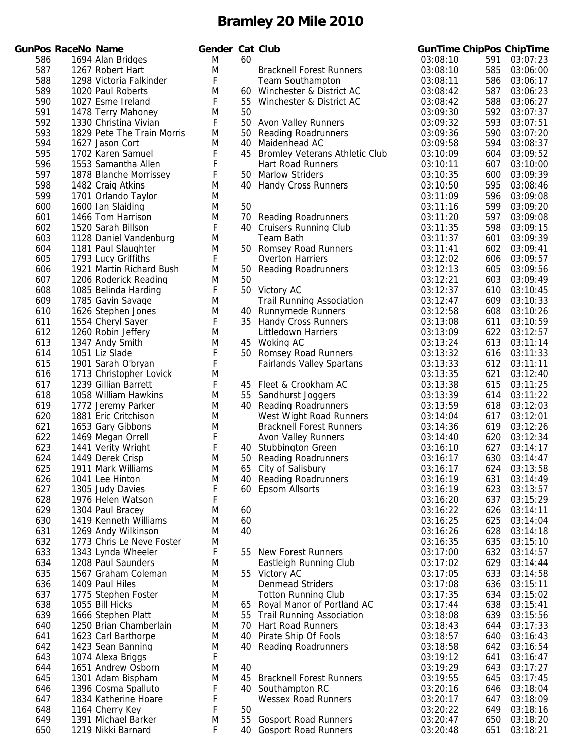|     | unPos RaceNo Name |                            |
|-----|-------------------|----------------------------|
| 586 |                   | 1694 Alan Bridges          |
| 587 |                   | 1267 Robert Hart           |
| 588 |                   | 1298 Victoria Falkinder    |
| 589 |                   | 1020 Paul Roberts          |
| 590 |                   | 1027 Esme Ireland          |
| 591 |                   | 1478 Terry Mahoney         |
| 592 |                   | 1330 Christina Vivian      |
| 593 |                   | 1829 Pete The Train Morris |
| 594 |                   | 1627 Jason Cort            |
| 595 |                   | 1702 Karen Samuel          |
| 596 |                   | 1553 Samantha Allen        |
| 597 |                   | 1878 Blanche Morrissev     |
| 598 |                   | 1482 Craig Atkins          |
| 599 |                   | 1701 Orlando Taylor        |
| 600 |                   | 1600 Ian Slaiding          |
| 601 |                   | 1466 Tom Harrison          |
| 602 |                   | 1520 Sarah Billson         |
| 603 |                   | 1128 Daniel Vandenburg     |
| 604 |                   | 1181 Paul Slaughter        |
| 605 |                   | 1793 Lucy Griffiths        |
| 606 |                   | 1921 Martin Richard Bush   |
| 607 |                   | 1206 Roderick Reading      |
| 608 |                   | 1085 Belinda Harding       |
| 609 |                   | 1785 Gavin Savage          |
| 610 |                   | 1626 Stephen Jones         |
| 611 |                   | 1554 Cheryl Sayer          |
| 612 |                   | 1260 Robin Jeffery         |
| 613 |                   | 1347 Andy Smith            |
| 614 |                   | 1051 Liz Slade             |
| 615 |                   | 1901 Sarah O'bryan         |
| 616 |                   | 1713 Christopher Lovick    |
| 617 |                   | 1239 Gillian Barrett       |
| 618 |                   | 1058 William Hawkins       |
| 619 |                   | 1772 Jeremy Parker         |
| 620 |                   | 1881 Eric Critchison       |
| 621 |                   | 1653 Gary Gibbons          |
| 622 |                   | 1469 Megan Orrell          |
| 623 |                   | 1441 Verity Wright         |
| 624 |                   | 1449 Derek Crisp           |
| 625 |                   | 1911 Mark Williams         |
| 626 |                   | 1041 Lee Hinton            |
| 627 |                   | 1305 Judy Davies           |
| 628 |                   | 1976 Helen Watson          |
| 629 |                   | 1304 Paul Bracey           |
| 630 |                   | 1419 Kenneth Williams      |
| 631 |                   | 1269 Andy Wilkinson        |
| 632 |                   | 1773 Chris Le Neve Foster  |
| 633 |                   | 1343 Lynda Wheeler         |
| 634 |                   | 1208 Paul Saunders         |
| 635 |                   | 1567 Graham Coleman        |
| 636 |                   | 1409 Paul Hiles            |
| 637 |                   | 1775 Stephen Foster        |
| 638 |                   | 1055 Bill Hicks            |
| 639 |                   | 1666 Stephen Platt         |
| 640 |                   | 1250 Brian Chamberlain     |
| 641 |                   | 1623 Carl Barthorpe        |
| 642 |                   | 1423 Sean Banning          |
| 643 |                   | 1074 Alexa Briggs          |
| 644 |                   | 1651 Andrew Osborn         |
| 645 |                   | 1301 Adam Bispham          |
| 646 |                   | 1396 Cosma Spalluto        |
| 647 |                   | 1834 Katherine Hoare       |
| 648 |                   | 1164 Cherry Key            |
| 649 |                   | 1391 Michael Barker        |
| 650 |                   | 1219 Nikki Barnard         |
|     |                   |                            |

|     | <b>GunPos RaceNo Name</b> |                            | <b>Gender Cat Club</b> |    |                                       |          |     | <b>GunTime ChipPos ChipTime</b> |
|-----|---------------------------|----------------------------|------------------------|----|---------------------------------------|----------|-----|---------------------------------|
| 586 |                           | 1694 Alan Bridges          | M                      | 60 |                                       | 03:08:10 | 591 | 03:07:23                        |
| 587 |                           | 1267 Robert Hart           | M                      |    | <b>Bracknell Forest Runners</b>       | 03:08:10 | 585 | 03:06:00                        |
| 588 |                           | 1298 Victoria Falkinder    | F                      |    | <b>Team Southampton</b>               | 03:08:11 | 586 | 03:06:17                        |
| 589 |                           | 1020 Paul Roberts          | M                      | 60 | Winchester & District AC              | 03:08:42 | 587 | 03:06:23                        |
| 590 |                           | 1027 Esme Ireland          | F                      | 55 | Winchester & District AC              | 03:08:42 | 588 | 03:06:27                        |
| 591 |                           | 1478 Terry Mahoney         | M                      | 50 |                                       | 03:09:30 | 592 | 03:07:37                        |
| 592 |                           | 1330 Christina Vivian      | F                      | 50 | <b>Avon Valley Runners</b>            | 03:09:32 | 593 | 03:07:51                        |
| 593 |                           | 1829 Pete The Train Morris | M                      | 50 | <b>Reading Roadrunners</b>            | 03:09:36 | 590 | 03:07:20                        |
| 594 |                           | 1627 Jason Cort            | M                      | 40 | Maidenhead AC                         | 03:09:58 | 594 | 03:08:37                        |
| 595 |                           | 1702 Karen Samuel          | F                      | 45 | <b>Bromley Veterans Athletic Club</b> | 03:10:09 | 604 | 03:09:52                        |
| 596 |                           | 1553 Samantha Allen        | F                      |    | <b>Hart Road Runners</b>              | 03:10:11 | 607 | 03:10:00                        |
| 597 |                           | 1878 Blanche Morrissey     | F                      | 50 | <b>Marlow Striders</b>                | 03:10:35 | 600 | 03:09:39                        |
| 598 |                           | 1482 Craig Atkins          | M                      | 40 | <b>Handy Cross Runners</b>            | 03:10:50 | 595 | 03:08:46                        |
| 599 |                           | 1701 Orlando Taylor        | M                      |    |                                       | 03:11:09 | 596 | 03:09:08                        |
| 600 |                           | 1600 Ian Slaiding          | M                      | 50 |                                       | 03:11:16 | 599 | 03:09:20                        |
| 601 |                           | 1466 Tom Harrison          | M                      | 70 | <b>Reading Roadrunners</b>            | 03:11:20 | 597 | 03:09:08                        |
| 602 |                           | 1520 Sarah Billson         | F                      |    | 40 Cruisers Running Club              | 03:11:35 | 598 | 03:09:15                        |
| 603 |                           | 1128 Daniel Vandenburg     | M                      |    | <b>Team Bath</b>                      | 03:11:37 | 601 | 03:09:39                        |
| 604 |                           | 1181 Paul Slaughter        | M                      |    | 50 Romsey Road Runners                | 03:11:41 | 602 | 03:09:41                        |
| 605 |                           | 1793 Lucy Griffiths        | F                      |    | <b>Overton Harriers</b>               | 03:12:02 | 606 | 03:09:57                        |
| 606 |                           | 1921 Martin Richard Bush   | M                      | 50 | <b>Reading Roadrunners</b>            | 03:12:13 | 605 | 03:09:56                        |
| 607 |                           | 1206 Roderick Reading      | M                      | 50 |                                       | 03:12:21 | 603 | 03:09:49                        |
| 608 |                           | 1085 Belinda Harding       | F                      |    | 50 Victory AC                         | 03:12:37 | 610 | 03:10:45                        |
| 609 |                           | 1785 Gavin Savage          | M                      |    | <b>Trail Running Association</b>      | 03:12:47 | 609 | 03:10:33                        |
| 610 |                           | 1626 Stephen Jones         | M                      |    | 40 Runnymede Runners                  | 03:12:58 | 608 | 03:10:26                        |
| 611 |                           | 1554 Cheryl Sayer          | F                      |    | 35 Handy Cross Runners                | 03:13:08 | 611 | 03:10:59                        |
| 612 |                           | 1260 Robin Jeffery         | M                      |    | Littledown Harriers                   | 03:13:09 | 622 | 03:12:57                        |
| 613 |                           | 1347 Andy Smith            | M                      | 45 | Woking AC                             | 03:13:24 | 613 | 03:11:14                        |
| 614 |                           | 1051 Liz Slade             | F                      |    | 50 Romsey Road Runners                | 03:13:32 | 616 | 03:11:33                        |
| 615 |                           | 1901 Sarah O'bryan         | F                      |    | <b>Fairlands Valley Spartans</b>      | 03:13:33 | 612 | 03:11:11                        |
| 616 |                           | 1713 Christopher Lovick    | M                      |    |                                       | 03:13:35 | 621 | 03:12:40                        |
| 617 |                           | 1239 Gillian Barrett       | F                      | 45 | Fleet & Crookham AC                   | 03:13:38 | 615 | 03:11:25                        |
| 618 |                           | 1058 William Hawkins       | M                      | 55 | Sandhurst Joggers                     | 03:13:39 | 614 | 03:11:22                        |
| 619 |                           | 1772 Jeremy Parker         | M                      |    | 40 Reading Roadrunners                | 03:13:59 | 618 | 03:12:03                        |
| 620 |                           | 1881 Eric Critchison       | M                      |    | West Wight Road Runners               | 03:14:04 | 617 | 03:12:01                        |
| 621 |                           | 1653 Gary Gibbons          | M                      |    | <b>Bracknell Forest Runners</b>       | 03:14:36 | 619 | 03:12:26                        |
| 622 |                           | 1469 Megan Orrell          | F                      |    | <b>Avon Valley Runners</b>            | 03:14:40 | 620 | 03:12:34                        |
| 623 |                           | 1441 Verity Wright         | F                      |    | 40 Stubbington Green                  | 03:16:10 | 627 | 03:14:17                        |
| 624 |                           | 1449 Derek Crisp           | M                      |    | 50 Reading Roadrunners                | 03:16:17 | 630 | 03:14:47                        |
| 625 |                           | 1911 Mark Williams         | M                      |    | 65 City of Salisbury                  | 03:16:17 | 624 | 03:13:58                        |
| 626 |                           | 1041 Lee Hinton            | M                      | 40 | <b>Reading Roadrunners</b>            | 03:16:19 | 631 | 03:14:49                        |
| 627 |                           | 1305 Judy Davies           | F                      | 60 | <b>Epsom Allsorts</b>                 | 03:16:19 | 623 | 03:13:57                        |
| 628 |                           | 1976 Helen Watson          | F                      |    |                                       | 03:16:20 | 637 | 03:15:29                        |
| 629 |                           | 1304 Paul Bracey           | M                      | 60 |                                       | 03:16:22 | 626 | 03:14:11                        |
| 630 |                           | 1419 Kenneth Williams      | M                      | 60 |                                       | 03:16:25 | 625 | 03:14:04                        |
| 631 |                           | 1269 Andy Wilkinson        | M                      | 40 |                                       | 03:16:26 | 628 | 03:14:18                        |
| 632 |                           | 1773 Chris Le Neve Foster  | M                      |    |                                       | 03:16:35 | 635 | 03:15:10                        |
| 633 |                           | 1343 Lynda Wheeler         | F                      | 55 | <b>New Forest Runners</b>             | 03:17:00 | 632 | 03:14:57                        |
| 634 |                           | 1208 Paul Saunders         | M                      |    | Eastleigh Running Club                | 03:17:02 | 629 | 03:14:44                        |
| 635 |                           | 1567 Graham Coleman        | M                      |    | 55 Victory AC                         | 03:17:05 | 633 | 03:14:58                        |
| 636 |                           | 1409 Paul Hiles            | M                      |    | <b>Denmead Striders</b>               | 03:17:08 | 636 | 03:15:11                        |
| 637 |                           | 1775 Stephen Foster        | M                      |    | <b>Totton Running Club</b>            | 03:17:35 | 634 | 03:15:02                        |
| 638 |                           | 1055 Bill Hicks            | M                      | 65 | Royal Manor of Portland AC            | 03:17:44 | 638 | 03:15:41                        |
| 639 |                           | 1666 Stephen Platt         | M                      | 55 | <b>Trail Running Association</b>      | 03:18:08 | 639 | 03:15:56                        |
| 640 |                           | 1250 Brian Chamberlain     | M                      | 70 | <b>Hart Road Runners</b>              | 03:18:43 | 644 | 03:17:33                        |
| 641 |                           | 1623 Carl Barthorpe        | M                      | 40 | Pirate Ship Of Fools                  | 03:18:57 | 640 | 03:16:43                        |
| 642 |                           | 1423 Sean Banning          | M                      | 40 | <b>Reading Roadrunners</b>            | 03:18:58 | 642 | 03:16:54                        |
| 643 |                           | 1074 Alexa Briggs          | F                      |    |                                       | 03:19:12 | 641 | 03:16:47                        |
| 644 |                           | 1651 Andrew Osborn         | M                      | 40 |                                       | 03:19:29 | 643 | 03:17:27                        |
| 645 |                           | 1301 Adam Bispham          | M                      | 45 | <b>Bracknell Forest Runners</b>       | 03:19:55 | 645 | 03:17:45                        |
| 646 |                           | 1396 Cosma Spalluto        | F                      |    | 40 Southampton RC                     | 03:20:16 | 646 | 03:18:04                        |
| 647 |                           | 1834 Katherine Hoare       | F                      |    | <b>Wessex Road Runners</b>            | 03:20:17 | 647 | 03:18:09                        |
| 648 |                           | 1164 Cherry Key            | F                      | 50 |                                       | 03:20:22 | 649 | 03:18:16                        |
| 649 |                           | 1391 Michael Barker        | M                      | 55 | <b>Gosport Road Runners</b>           | 03:20:47 | 650 | 03:18:20                        |
| 650 |                           | 1219 Nikki Barnard         | F                      | 40 | <b>Gosport Road Runners</b>           | 03:20:48 | 651 | 03:18:21                        |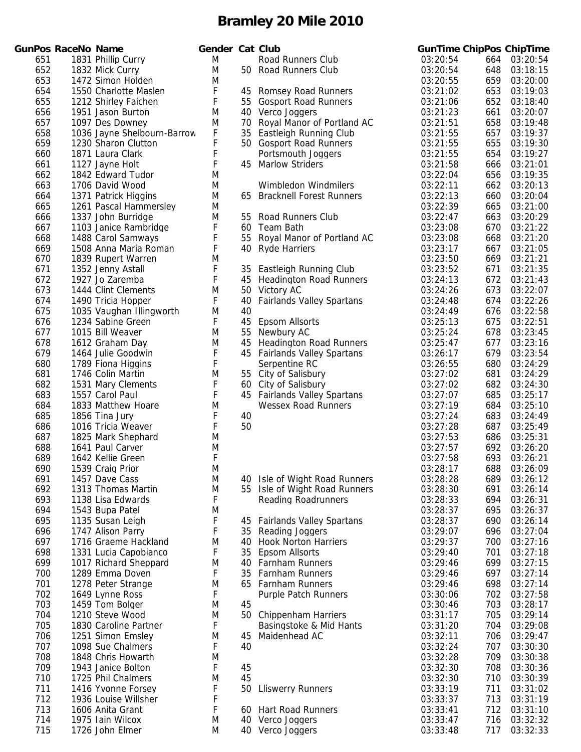|     | unPos RaceNo Name |                             | Gender Cat Club |      |                        |
|-----|-------------------|-----------------------------|-----------------|------|------------------------|
| 651 |                   | 1831 Phillip Curry          | Μ               |      | Road Runners           |
| 652 |                   | 1832 Mick Curry             | Μ               | 50   | Road Runners           |
| 653 |                   | 1472 Simon Holden           | M               |      |                        |
| 654 |                   | 1550 Charlotte Maslen       | F               | 45   | Romsey Road            |
| 655 |                   | 1212 Shirley Faichen        | F               | 55   | Gosport Road           |
| 656 |                   | 1951 Jason Burton           | M               | 40   | Verco Joggers          |
| 657 |                   | 1097 Des Downey             | Μ               | 70   | Royal Manor o          |
| 658 |                   | 1036 Jayne Shelbourn-Barrow | F               | 35   | Eastleigh Runr         |
| 659 |                   | 1230 Sharon Clutton         | F               | 50   | Gosport Road           |
| 660 |                   | 1871 Laura Clark            | F               |      | Portsmouth Jo          |
| 661 |                   | 1127 Jayne Holt             | F               | 45   | <b>Marlow Strider</b>  |
| 662 |                   | 1842 Edward Tudor           | Μ               |      |                        |
| 663 |                   | 1706 David Wood             | M               |      | Wimbledon Wi           |
| 664 |                   | 1371 Patrick Higgins        | Μ               | 65   | <b>Bracknell Fore</b>  |
| 665 |                   | 1261 Pascal Hammersley      | Μ               |      |                        |
| 666 |                   | 1337 John Burridge          | Μ               | 55   | Road Runners           |
| 667 |                   | 1103 Janice Rambridge       | F               | 60   | <b>Team Bath</b>       |
| 668 |                   | 1488 Carol Samways          | F               | 55   | Royal Manor o          |
| 669 |                   | 1508 Anna Maria Roman       | F               | 40   | <b>Ryde Harriers</b>   |
| 670 |                   | 1839 Rupert Warren          | Μ               |      |                        |
| 671 |                   | 1352 Jenny Astall           | F               | 35   | Eastleigh Runr         |
| 672 |                   | 1927 Jo Zaremba             | F               | 45   | <b>Headington Ro</b>   |
| 673 |                   | 1444 Clint Clements         | M               | 50   | Victory AC             |
| 674 |                   | 1490 Tricia Hopper          | F               | 40   | <b>Fairlands Valle</b> |
| 675 |                   | 1035 Vaughan Illingworth    | Μ               | 40   |                        |
| 676 |                   | 1234 Sabine Green           | F               | 45   | <b>Epsom Allsorts</b>  |
| 677 |                   | 1015 Bill Weaver            | Μ               | 55   | Newbury AC             |
| 678 |                   | 1612 Graham Day             | Μ               | 45   | <b>Headington Ro</b>   |
| 679 |                   | 1464 Julie Goodwin          | F               | 45   | <b>Fairlands Valle</b> |
| 680 |                   | 1789 Fiona Higgins          | F               |      | Serpentine RC          |
| 681 |                   | 1746 Colin Martin           | M               | 55   | City of Salisbu        |
| 682 |                   | 1531 Mary Clements          | F               | 60   | City of Salisbu        |
| 683 |                   | 1557 Carol Paul             | F               | 45   | <b>Fairlands Valle</b> |
| 684 |                   | 1833 Matthew Hoare          | M               |      | Wessex Road            |
| 685 |                   | 1856 Tina Jury              | F               | 40   |                        |
| 686 |                   | 1016 Tricia Weaver          | F               | 50   |                        |
| 687 |                   | 1825 Mark Shephard          | Μ               |      |                        |
| 688 |                   | 1641 Paul Carver            | M               |      |                        |
| 689 |                   | 1642 Kellie Green           | F               |      |                        |
| 690 |                   | 1539 Craig Prior            | Μ               |      |                        |
| 691 |                   | 1457 Dave Cass              | M               | 40   | Isle of Wight F        |
| 692 |                   | 1313 Thomas Martin          | Μ               | 55   | Isle of Wight F        |
| 693 |                   | 1138 Lisa Edwards           | F               |      | Reading Road           |
| 694 |                   | 1543 Bupa Patel             | Μ               |      |                        |
| 695 |                   | 1135 Susan Leigh            | F               | 45   | <b>Fairlands Valle</b> |
| 696 |                   | 1747 Alison Parry           | F               | 35   | Reading Jogge          |
| 697 |                   | 1716 Graeme Hackland        | Μ               | 40   | Hook Norton H          |
| 698 |                   | 1331 Lucia Capobianco       | F               | 35   | <b>Epsom Allsorts</b>  |
| 699 |                   | 1017 Richard Sheppard       | Μ               | 40   | Farnham Runr           |
| 700 |                   | 1289 Emma Doven             | F               | 35   | Farnham Runr           |
| 701 |                   | 1278 Peter Strange          | Μ               | 65   | Farnham Runr           |
| 702 |                   | 1649 Lynne Ross             | F               |      | Purple Patch R         |
| 703 |                   | 1459 Tom Bolger             | Μ               | 45   |                        |
| 704 |                   | 1210 Steve Wood             | Μ               | 50   | Chippenham H           |
| 705 |                   | 1830 Caroline Partner       | F               |      | Basingstoke &          |
| 706 |                   | 1251 Simon Emsley           | Μ               | 45   | Maidenhead A           |
| 707 |                   | 1098 Sue Chalmers           | F               | 40   |                        |
| 708 |                   | 1848 Chris Howarth          | M               |      |                        |
|     |                   |                             |                 |      |                        |
| 709 |                   | 1943 Janice Bolton          | F               | 45   |                        |
| 710 |                   | 1725 Phil Chalmers          | M               | 45   |                        |
| 711 |                   | 1416 Yvonne Forsey          | F               | 50   | <b>Lliswerry Runr</b>  |
| 712 |                   | 1936 Louise Willsher        | F               |      |                        |
| 713 |                   | 1606 Anita Grant            | F               | 60 - | Hart Road Rur          |
| 714 |                   | 1975 Iain Wilcox            | Μ               | 40   | Verco Joggers          |
| 715 |                   | 1726 John Elmer             | M               | 40   | Verco Joggers          |

|            | <b>GunPos RaceNo Name</b> |                                                | Gender Cat Club |          |                                  |                      |            | <b>GunTime ChipPos ChipTime</b> |
|------------|---------------------------|------------------------------------------------|-----------------|----------|----------------------------------|----------------------|------------|---------------------------------|
| 651        |                           | 1831 Phillip Curry                             | M               |          | Road Runners Club                | 03:20:54             | 664        | 03:20:54                        |
| 652        |                           | 1832 Mick Curry                                | M               |          | 50 Road Runners Club             | 03:20:54             | 648        | 03:18:15                        |
| 653        |                           | 1472 Simon Holden                              | M               |          |                                  | 03:20:55             | 659        | 03:20:00                        |
| 654        |                           | 1550 Charlotte Maslen                          | F               |          | 45 Romsey Road Runners           | 03:21:02             | 653        | 03:19:03                        |
| 655        |                           | 1212 Shirley Faichen                           | $\mathsf F$     |          | 55 Gosport Road Runners          | 03:21:06             | 652        | 03:18:40                        |
| 656        |                           | 1951 Jason Burton                              | M               |          | 40 Verco Joggers                 | 03:21:23             | 661        | 03:20:07                        |
| 657        |                           | 1097 Des Downey                                | M               |          | 70 Royal Manor of Portland AC    | 03:21:51             | 658        | 03:19:48                        |
| 658        |                           | 1036 Jayne Shelbourn-Barrow                    | F               |          | 35 Eastleigh Running Club        | 03:21:55             | 657        | 03:19:37                        |
| 659        |                           | 1230 Sharon Clutton                            | F               |          | 50 Gosport Road Runners          | 03:21:55             | 655        | 03:19:30                        |
| 660        |                           | 1871 Laura Clark                               | F               |          | Portsmouth Joggers               | 03:21:55             | 654        | 03:19:27                        |
| 661        |                           | 1127 Jayne Holt                                | F               |          | 45 Marlow Striders               | 03:21:58             | 666        | 03:21:01                        |
| 662        |                           | 1842 Edward Tudor                              | M               |          |                                  | 03:22:04             | 656        | 03:19:35                        |
| 663        |                           | 1706 David Wood                                | M               |          | Wimbledon Windmilers             | 03:22:11             | 662        | 03:20:13<br>03:20:04            |
| 664<br>665 |                           | 1371 Patrick Higgins<br>1261 Pascal Hammersley | M               |          | 65 Bracknell Forest Runners      | 03:22:13<br>03:22:39 | 660<br>665 | 03:21:00                        |
| 666        |                           | 1337 John Burridge                             | M<br>M          | 55       | <b>Road Runners Club</b>         | 03:22:47             | 663        | 03:20:29                        |
| 667        |                           | 1103 Janice Rambridge                          | F               |          | 60 Team Bath                     | 03:23:08             | 670        | 03:21:22                        |
| 668        |                           | 1488 Carol Samways                             | F               |          | 55 Royal Manor of Portland AC    | 03:23:08             | 668        | 03:21:20                        |
| 669        |                           | 1508 Anna Maria Roman                          | F               |          | 40 Ryde Harriers                 | 03:23:17             | 667        | 03:21:05                        |
| 670        |                           | 1839 Rupert Warren                             | M               |          |                                  | 03:23:50             | 669        | 03:21:21                        |
| 671        |                           | 1352 Jenny Astall                              | F               |          | 35 Eastleigh Running Club        | 03:23:52             | 671        | 03:21:35                        |
| 672        |                           | 1927 Jo Zaremba                                | F               | 45       | <b>Headington Road Runners</b>   | 03:24:13             | 672        | 03:21:43                        |
| 673        |                           | 1444 Clint Clements                            | M               |          | 50 Victory AC                    | 03:24:26             | 673        | 03:22:07                        |
| 674        |                           | 1490 Tricia Hopper                             | F               | 40       | <b>Fairlands Valley Spartans</b> | 03:24:48             | 674        | 03:22:26                        |
| 675        |                           | 1035 Vaughan Illingworth                       | M               | 40       |                                  | 03:24:49             | 676        | 03:22:58                        |
| 676        |                           | 1234 Sabine Green                              | F               | 45       | <b>Epsom Allsorts</b>            | 03:25:13             | 675        | 03:22:51                        |
| 677        |                           | 1015 Bill Weaver                               | M               | 55       | Newbury AC                       | 03:25:24             | 678        | 03:23:45                        |
| 678        |                           | 1612 Graham Day                                | M               | 45       | <b>Headington Road Runners</b>   | 03:25:47             | 677        | 03:23:16                        |
| 679        |                           | 1464 Julie Goodwin                             | F               |          | 45 Fairlands Valley Spartans     | 03:26:17             | 679        | 03:23:54                        |
| 680        |                           | 1789 Fiona Higgins                             | F               |          | Serpentine RC                    | 03:26:55             | 680        | 03:24:29                        |
| 681        |                           | 1746 Colin Martin                              | M               |          | 55 City of Salisbury             | 03:27:02             | 681        | 03:24:29                        |
| 682        |                           | 1531 Mary Clements                             | F               |          | 60 City of Salisbury             | 03:27:02             | 682        | 03:24:30                        |
| 683        |                           | 1557 Carol Paul                                | F               |          | 45 Fairlands Valley Spartans     | 03:27:07             | 685        | 03:25:17                        |
| 684        |                           | 1833 Matthew Hoare                             | M               |          | <b>Wessex Road Runners</b>       | 03:27:19             | 684        | 03:25:10                        |
| 685        |                           | 1856 Tina Jury                                 | F               | 40       |                                  | 03:27:24             | 683        | 03:24:49                        |
| 686        |                           | 1016 Tricia Weaver                             | $\mathsf F$     | 50       |                                  | 03:27:28             | 687        | 03:25:49                        |
| 687        |                           | 1825 Mark Shephard                             | M               |          |                                  | 03:27:53             | 686        | 03:25:31                        |
| 688        |                           | 1641 Paul Carver                               | M               |          |                                  | 03:27:57             | 692        | 03:26:20                        |
| 689        |                           | 1642 Kellie Green                              | F               |          |                                  | 03:27:58             | 693        | 03:26:21                        |
| 690        |                           | 1539 Craig Prior                               | M               |          |                                  | 03:28:17             | 688        | 03:26:09                        |
| 691        |                           | 1457 Dave Cass                                 | M               | 40       | Isle of Wight Road Runners       | 03:28:28             | 689        | 03:26:12                        |
| 692        |                           | 1313 Thomas Martin                             | M               |          | 55 Isle of Wight Road Runners    | 03:28:30             | 691        | 03:26:14                        |
| 693        |                           | 1138 Lisa Edwards                              | F               |          | <b>Reading Roadrunners</b>       | 03:28:33             | 694        | 03:26:31                        |
| 694        |                           | 1543 Bupa Patel                                | M               |          |                                  | 03:28:37             | 695        | 03:26:37                        |
| 695        |                           | 1135 Susan Leigh                               | F               | 45       | <b>Fairlands Valley Spartans</b> | 03:28:37             | 690        | 03:26:14                        |
| 696        |                           | 1747 Alison Parry                              | F               | 35       | Reading Joggers                  | 03:29:07             | 696        | 03:27:04                        |
| 697        |                           | 1716 Graeme Hackland                           | M               | 40       | <b>Hook Norton Harriers</b>      | 03:29:37             | 700        | 03:27:16                        |
| 698        |                           | 1331 Lucia Capobianco                          | F               | 35       | <b>Epsom Allsorts</b>            | 03:29:40             | 701        | 03:27:18                        |
| 699        |                           | 1017 Richard Sheppard                          | M               | 40       | <b>Farnham Runners</b>           | 03:29:46             | 699        | 03:27:15                        |
| 700        |                           | 1289 Emma Doven                                | F               | 35       | <b>Farnham Runners</b>           | 03:29:46             | 697        | 03:27:14                        |
| 701        |                           | 1278 Peter Strange                             | M               | 65       | <b>Farnham Runners</b>           | 03:29:46             | 698        | 03:27:14                        |
| 702        |                           | 1649 Lynne Ross                                | F               |          | <b>Purple Patch Runners</b>      | 03:30:06             | 702        | 03:27:58                        |
| 703        |                           | 1459 Tom Bolger                                | M               | 45       |                                  | 03:30:46             | 703        | 03:28:17                        |
| 704<br>705 |                           | 1210 Steve Wood                                | M               |          | 50 Chippenham Harriers           | 03:31:17             | 705        | 03:29:14                        |
| 706        |                           | 1830 Caroline Partner                          | F<br>M          |          | Basingstoke & Mid Hants          | 03:31:20<br>03:32:11 | 704<br>706 | 03:29:08<br>03:29:47            |
| 707        |                           | 1251 Simon Emsley<br>1098 Sue Chalmers         | F               | 45<br>40 | Maidenhead AC                    | 03:32:24             | 707        | 03:30:30                        |
| 708        |                           | 1848 Chris Howarth                             | M               |          |                                  | 03:32:28             | 709        | 03:30:38                        |
| 709        |                           | 1943 Janice Bolton                             | F               | 45       |                                  | 03:32:30             | 708        | 03:30:36                        |
| 710        |                           | 1725 Phil Chalmers                             | M               | 45       |                                  | 03:32:30             | 710        | 03:30:39                        |
| 711        |                           | 1416 Yvonne Forsey                             | F               | 50       | <b>Lliswerry Runners</b>         | 03:33:19             | 711        | 03:31:02                        |
| 712        |                           | 1936 Louise Willsher                           | F               |          |                                  | 03:33:37             | 713        | 03:31:19                        |
| 713        |                           | 1606 Anita Grant                               | F               | 60       | <b>Hart Road Runners</b>         | 03:33:41             | 712        | 03:31:10                        |
| 714        |                           | 1975 Iain Wilcox                               | M               |          | 40 Verco Joggers                 | 03:33:47             | 716        | 03:32:32                        |
| 745        |                           |                                                |                 |          |                                  |                      |            |                                 |

| <b>GunTime ChipPos</b> |            | <b>ChipTime</b>      |
|------------------------|------------|----------------------|
| 03:20:54               | 664        | 03:20:54             |
| 03:20:54               | 648        | 03:18:15             |
| 03:20:55               | 659        | 03:20:00             |
| 03:21:02               | 653        | 03:19:03             |
| 03:21:06<br>03:21:23   | 652<br>661 | 03:18:40<br>03:20:07 |
| 03:21:51               | 658        | 03:19:48             |
| 03:21:55               | 657        | 03:19:37             |
| 03:21:55               | 655        | 03:19:30             |
| 03:21:55               | 654        | 03:19:27             |
| 03:21:58               | 666        | 03:21:01             |
| 03:22:04               | 656        | 03:19:35             |
| 03:22:11               | 662        | 03:20:13             |
| 03:22:13               | 660        | 03:20:04             |
| 03:22:39               | 665        | 03:21:00             |
| 03:22:47               | 663        | 03:20:29             |
| 03:23:08               | 670        | 03:21:22             |
| 03:23:08               | 668        | 03:21:20             |
| 03:23:17               | 667        | 03:21:05             |
| 03:23:50<br>03:23:52   | 669        | 03:21:21<br>03:21:35 |
| 03:24:13               | 671<br>672 | 03:21:43             |
| 03:24:26               | 673        | 03:22:07             |
| 03:24:48               | 674        | 03:22:26             |
| 03:24:49               | 676        | 03:22:58             |
| 03:25:13               | 675        | 03:22:51             |
| 03:25:24               | 678        | 03:23:45             |
| 03:25:47               | 677        | 03:23:16             |
| 03:26:17               | 679        | 03:23:54             |
| 03:26:55               | 680        | 03:24:29             |
| 03:27:02               | 681        | 03:24:29             |
| 03:27:02               | 682        | 03:24:30             |
| 03:27:07               | 685        | 03:25:17             |
| 03:27:19               | 684        | 03:25:10             |
| 03:27:24<br>03:27:28   | 683<br>687 | 03:24:49<br>03:25:49 |
| 03:27:53               | 686        | 03:25:31             |
| 03:27:57               | 692        | 03:26:20             |
| 03:27:58               | 693        | 03:26:21             |
| 03:28:17               | 688        | 03:26:09             |
| 03:28:28               | 689        | 03:26:12             |
| 03:28:30               | 691        | 03:26:14             |
| 03:28:33               | 694        | 03:26:31             |
| 03:28:37               | 695        | 03:26:37             |
| 03:28:37               | 690        | 03:26:14             |
| 03:29:07               | 696        | 03:27:04             |
| 03:29:37               | 700<br>701 | 03:27:16<br>03:27:18 |
| 03:29:40<br>03:29:46   | 699        | 03:27:15             |
| 03:29:46               | 697        | 03:27:14             |
| 03:29:46               | 698        | 03:27:14             |
| 03:30:06               | 702        | 03:27:58             |
| 03:30:46               | 703        | 03:28:17             |
| 03:31:17               | 705        | 03:29:14             |
| 03:31:20               | 704        | 03:29:08             |
| 03:32:11               | 706        | 03:29:47             |
| 03:32:24               | 707        | 03:30:30             |
| 03:32:28               | 709        | 03:30:38             |
| 03:32:30               | 708        | 03:30:36             |
| 03:32:30<br>03:33:19   | 710<br>711 | 03:30:39<br>03:31:02 |
| 03:33:37               | 713        | 03:31:19             |
| 03:33:41               | 712        | 03:31:10             |
| 03:33:47               | 716        | 03:32:32             |
| 03:33:48               | 717        | 03:32:33             |